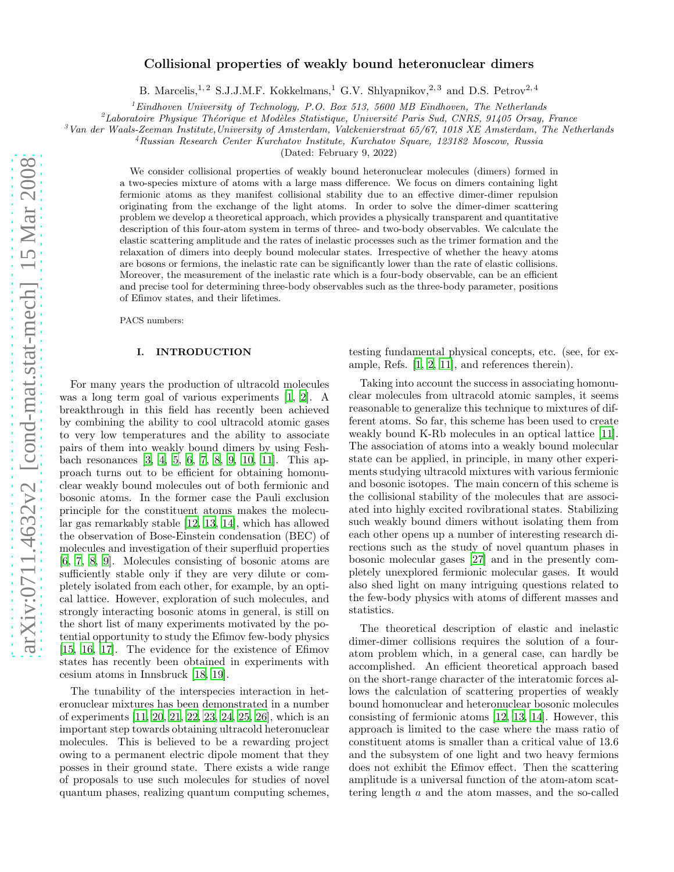# arXiv:0711.4632v2 [cond-mat.stat-mech] 15 Mar 2008 [arXiv:0711.4632v2 \[cond-mat.stat-mech\] 15 Mar 2008](http://arxiv.org/abs/0711.4632v2)

# Collisional properties of weakly bound heteronuclear dimers

B. Marcelis,<sup>1,2</sup> S.J.J.M.F. Kokkelmans,<sup>1</sup> G.V. Shlyapnikov,<sup>2,3</sup> and D.S. Petrov<sup>2,4</sup>

 $1<sup>1</sup>$  Eindhoven University of Technology, P.O. Box 513, 5600 MB Eindhoven, The Netherlands

 ${}^{2}$ Laboratoire Physique Théorique et Modèles Statistique, Université Paris Sud, CNRS, 91405 Orsay, France

 $3$ Van der Waals-Zeeman Institute, University of Amsterdam, Valckenierstraat 65/67, 1018 XE Amsterdam, The Netherlands

<sup>4</sup>Russian Research Center Kurchatov Institute, Kurchatov Square, 123182 Moscow, Russia

(Dated: February 9, 2022)

We consider collisional properties of weakly bound heteronuclear molecules (dimers) formed in a two-species mixture of atoms with a large mass difference. We focus on dimers containing light fermionic atoms as they manifest collisional stability due to an effective dimer-dimer repulsion originating from the exchange of the light atoms. In order to solve the dimer-dimer scattering problem we develop a theoretical approach, which provides a physically transparent and quantitative description of this four-atom system in terms of three- and two-body observables. We calculate the elastic scattering amplitude and the rates of inelastic processes such as the trimer formation and the relaxation of dimers into deeply bound molecular states. Irrespective of whether the heavy atoms are bosons or fermions, the inelastic rate can be significantly lower than the rate of elastic collisions. Moreover, the measurement of the inelastic rate which is a four-body observable, can be an efficient and precise tool for determining three-body observables such as the three-body parameter, positions of Efimov states, and their lifetimes.

PACS numbers:

# I. INTRODUCTION

For many years the production of ultracold molecules was a long term goal of various experiments [\[1,](#page-12-0) [2](#page-12-1)]. A breakthrough in this field has recently been achieved by combining the ability to cool ultracold atomic gases to very low temperatures and the ability to associate pairs of them into weakly bound dimers by using Feshbach resonances [\[3](#page-13-0), [4,](#page-13-1) [5](#page-13-2), [6,](#page-13-3) [7](#page-13-4), [8](#page-13-5), [9,](#page-13-6) [10](#page-13-7), [11\]](#page-13-8). This approach turns out to be efficient for obtaining homonuclear weakly bound molecules out of both fermionic and bosonic atoms. In the former case the Pauli exclusion principle for the constituent atoms makes the molecular gas remarkably stable [\[12,](#page-13-9) [13,](#page-13-10) [14\]](#page-13-11), which has allowed the observation of Bose-Einstein condensation (BEC) of molecules and investigation of their superfluid properties [\[6,](#page-13-3) [7](#page-13-4), [8,](#page-13-5) [9\]](#page-13-6). Molecules consisting of bosonic atoms are sufficiently stable only if they are very dilute or completely isolated from each other, for example, by an optical lattice. However, exploration of such molecules, and strongly interacting bosonic atoms in general, is still on the short list of many experiments motivated by the potential opportunity to study the Efimov few-body physics [\[15,](#page-13-12) [16](#page-13-13), [17\]](#page-13-14). The evidence for the existence of Efimov states has recently been obtained in experiments with cesium atoms in Innsbruck [\[18,](#page-13-15) [19\]](#page-13-16).

The tunability of the interspecies interaction in heteronuclear mixtures has been demonstrated in a number of experiments [\[11,](#page-13-8) [20,](#page-13-17) [21](#page-13-18), [22,](#page-13-19) [23,](#page-13-20) [24](#page-13-21), [25,](#page-13-22) [26\]](#page-13-23), which is an important step towards obtaining ultracold heteronuclear molecules. This is believed to be a rewarding project owing to a permanent electric dipole moment that they posses in their ground state. There exists a wide range of proposals to use such molecules for studies of novel quantum phases, realizing quantum computing schemes,

testing fundamental physical concepts, etc. (see, for example, Refs. [\[1,](#page-12-0) [2,](#page-12-1) [11\]](#page-13-8), and references therein).

Taking into account the success in associating homonuclear molecules from ultracold atomic samples, it seems reasonable to generalize this technique to mixtures of different atoms. So far, this scheme has been used to create weakly bound K-Rb molecules in an optical lattice [\[11\]](#page-13-8). The association of atoms into a weakly bound molecular state can be applied, in principle, in many other experiments studying ultracold mixtures with various fermionic and bosonic isotopes. The main concern of this scheme is the collisional stability of the molecules that are associated into highly excited rovibrational states. Stabilizing such weakly bound dimers without isolating them from each other opens up a number of interesting research directions such as the study of novel quantum phases in bosonic molecular gases [\[27](#page-13-24)] and in the presently completely unexplored fermionic molecular gases. It would also shed light on many intriguing questions related to the few-body physics with atoms of different masses and statistics.

The theoretical description of elastic and inelastic dimer-dimer collisions requires the solution of a fouratom problem which, in a general case, can hardly be accomplished. An efficient theoretical approach based on the short-range character of the interatomic forces allows the calculation of scattering properties of weakly bound homonuclear and heteronuclear bosonic molecules consisting of fermionic atoms [\[12](#page-13-9), [13,](#page-13-10) [14\]](#page-13-11). However, this approach is limited to the case where the mass ratio of constituent atoms is smaller than a critical value of 13.6 and the subsystem of one light and two heavy fermions does not exhibit the Efimov effect. Then the scattering amplitude is a universal function of the atom-atom scattering length a and the atom masses, and the so-called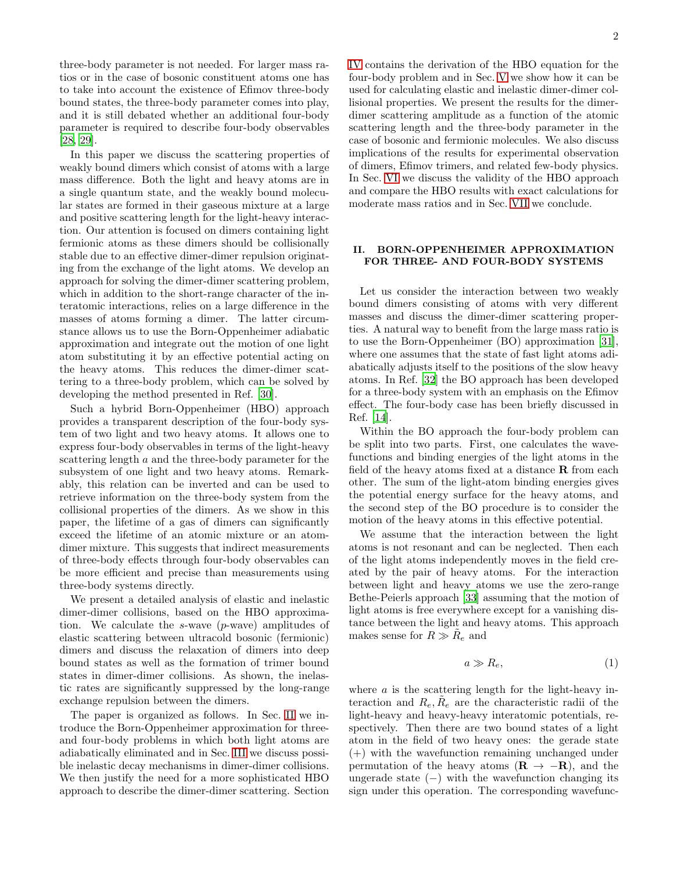three-body parameter is not needed. For larger mass ratios or in the case of bosonic constituent atoms one has to take into account the existence of Efimov three-body bound states, the three-body parameter comes into play, and it is still debated whether an additional four-body parameter is required to describe four-body observables [\[28,](#page-13-25) [29\]](#page-13-26).

In this paper we discuss the scattering properties of weakly bound dimers which consist of atoms with a large mass difference. Both the light and heavy atoms are in a single quantum state, and the weakly bound molecular states are formed in their gaseous mixture at a large and positive scattering length for the light-heavy interaction. Our attention is focused on dimers containing light fermionic atoms as these dimers should be collisionally stable due to an effective dimer-dimer repulsion originating from the exchange of the light atoms. We develop an approach for solving the dimer-dimer scattering problem, which in addition to the short-range character of the interatomic interactions, relies on a large difference in the masses of atoms forming a dimer. The latter circumstance allows us to use the Born-Oppenheimer adiabatic approximation and integrate out the motion of one light atom substituting it by an effective potential acting on the heavy atoms. This reduces the dimer-dimer scattering to a three-body problem, which can be solved by developing the method presented in Ref. [\[30\]](#page-13-27).

Such a hybrid Born-Oppenheimer (HBO) approach provides a transparent description of the four-body system of two light and two heavy atoms. It allows one to express four-body observables in terms of the light-heavy scattering length a and the three-body parameter for the subsystem of one light and two heavy atoms. Remarkably, this relation can be inverted and can be used to retrieve information on the three-body system from the collisional properties of the dimers. As we show in this paper, the lifetime of a gas of dimers can significantly exceed the lifetime of an atomic mixture or an atomdimer mixture. This suggests that indirect measurements of three-body effects through four-body observables can be more efficient and precise than measurements using three-body systems directly.

We present a detailed analysis of elastic and inelastic dimer-dimer collisions, based on the HBO approximation. We calculate the s-wave (p-wave) amplitudes of elastic scattering between ultracold bosonic (fermionic) dimers and discuss the relaxation of dimers into deep bound states as well as the formation of trimer bound states in dimer-dimer collisions. As shown, the inelastic rates are significantly suppressed by the long-range exchange repulsion between the dimers.

The paper is organized as follows. In Sec. [II](#page-1-0) we introduce the Born-Oppenheimer approximation for threeand four-body problems in which both light atoms are adiabatically eliminated and in Sec. [III](#page-3-0) we discuss possible inelastic decay mechanisms in dimer-dimer collisions. We then justify the need for a more sophisticated HBO approach to describe the dimer-dimer scattering. Section [IV](#page-5-0) contains the derivation of the HBO equation for the four-body problem and in Sec. [V](#page-7-0) we show how it can be used for calculating elastic and inelastic dimer-dimer collisional properties. We present the results for the dimerdimer scattering amplitude as a function of the atomic scattering length and the three-body parameter in the case of bosonic and fermionic molecules. We also discuss implications of the results for experimental observation of dimers, Efimov trimers, and related few-body physics. In Sec. [VI](#page-10-0) we discuss the validity of the HBO approach and compare the HBO results with exact calculations for moderate mass ratios and in Sec. [VII](#page-11-0) we conclude.

# <span id="page-1-0"></span>II. BORN-OPPENHEIMER APPROXIMATION FOR THREE- AND FOUR-BODY SYSTEMS

Let us consider the interaction between two weakly bound dimers consisting of atoms with very different masses and discuss the dimer-dimer scattering properties. A natural way to benefit from the large mass ratio is to use the Born-Oppenheimer (BO) approximation [\[31\]](#page-13-28), where one assumes that the state of fast light atoms adiabatically adjusts itself to the positions of the slow heavy atoms. In Ref. [\[32\]](#page-13-29) the BO approach has been developed for a three-body system with an emphasis on the Efimov effect. The four-body case has been briefly discussed in Ref. [\[14\]](#page-13-11).

Within the BO approach the four-body problem can be split into two parts. First, one calculates the wavefunctions and binding energies of the light atoms in the field of the heavy atoms fixed at a distance  $\bf{R}$  from each other. The sum of the light-atom binding energies gives the potential energy surface for the heavy atoms, and the second step of the BO procedure is to consider the motion of the heavy atoms in this effective potential.

We assume that the interaction between the light atoms is not resonant and can be neglected. Then each of the light atoms independently moves in the field created by the pair of heavy atoms. For the interaction between light and heavy atoms we use the zero-range Bethe-Peierls approach [\[33](#page-13-30)] assuming that the motion of light atoms is free everywhere except for a vanishing distance between the light and heavy atoms. This approach makes sense for  $R \gg \tilde{R}_e$  and

<span id="page-1-1"></span>
$$
a \gg R_e,\tag{1}
$$

where  $a$  is the scattering length for the light-heavy interaction and  $R_e, \tilde{R}_e$  are the characteristic radii of the light-heavy and heavy-heavy interatomic potentials, respectively. Then there are two bound states of a light atom in the field of two heavy ones: the gerade state (+) with the wavefunction remaining unchanged under permutation of the heavy atoms  $(\mathbf{R} \to -\mathbf{R})$ , and the ungerade state  $(-)$  with the wavefunction changing its sign under this operation. The corresponding wavefunc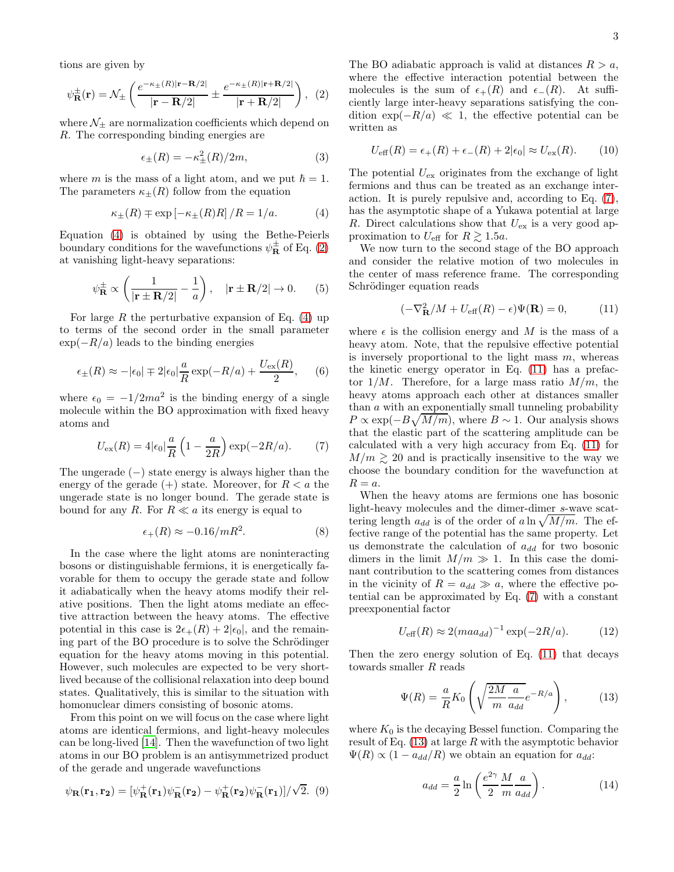tions are given by

<span id="page-2-1"></span>
$$
\psi_{\mathbf{R}}^{\pm}(\mathbf{r}) = \mathcal{N}_{\pm} \left( \frac{e^{-\kappa_{\pm}(R)|\mathbf{r} - \mathbf{R}/2|}}{|\mathbf{r} - \mathbf{R}/2|} \pm \frac{e^{-\kappa_{\pm}(R)|\mathbf{r} + \mathbf{R}/2|}}{|\mathbf{r} + \mathbf{R}/2|} \right), (2)
$$

where  $\mathcal{N}_{\pm}$  are normalization coefficients which depend on R. The corresponding binding energies are

$$
\epsilon_{\pm}(R) = -\kappa_{\pm}^2(R)/2m,\tag{3}
$$

where m is the mass of a light atom, and we put  $\hbar = 1$ . The parameters  $\kappa_{\pm}(R)$  follow from the equation

<span id="page-2-0"></span>
$$
\kappa_{\pm}(R) \mp \exp\left[-\kappa_{\pm}(R)R\right]/R = 1/a. \tag{4}
$$

Equation [\(4\)](#page-2-0) is obtained by using the Bethe-Peierls boundary conditions for the wavefunctions  $\psi_{\mathbf{R}}^{\pm}$  of Eq. [\(2\)](#page-2-1) at vanishing light-heavy separations:

<span id="page-2-9"></span>
$$
\psi_{\mathbf{R}}^{\pm} \propto \left(\frac{1}{|\mathbf{r} \pm \mathbf{R}/2|} - \frac{1}{a}\right), \quad |\mathbf{r} \pm \mathbf{R}/2| \to 0.
$$
 (5)

For large  $R$  the perturbative expansion of Eq. [\(4\)](#page-2-0) up to terms of the second order in the small parameter  $\exp(-R/a)$  leads to the binding energies

$$
\epsilon_{\pm}(R) \approx -|\epsilon_0| \mp 2|\epsilon_0| \frac{a}{R} \exp(-R/a) + \frac{U_{\text{ex}}(R)}{2}, \quad (6)
$$

where  $\epsilon_0 = -1/2ma^2$  is the binding energy of a single molecule within the BO approximation with fixed heavy atoms and

<span id="page-2-2"></span>
$$
U_{\rm ex}(R) = 4|\epsilon_0| \frac{a}{R} \left(1 - \frac{a}{2R}\right) \exp(-2R/a). \tag{7}
$$

The ungerade  $(-)$  state energy is always higher than the energy of the gerade  $(+)$  state. Moreover, for  $R < a$  the ungerade state is no longer bound. The gerade state is bound for any R. For  $R \ll a$  its energy is equal to

<span id="page-2-7"></span>
$$
\epsilon_+(R) \approx -0.16/mR^2. \tag{8}
$$

In the case where the light atoms are noninteracting bosons or distinguishable fermions, it is energetically favorable for them to occupy the gerade state and follow it adiabatically when the heavy atoms modify their relative positions. Then the light atoms mediate an effective attraction between the heavy atoms. The effective potential in this case is  $2\epsilon_{+}(R) + 2|\epsilon_{0}|$ , and the remaining part of the BO procedure is to solve the Schrödinger equation for the heavy atoms moving in this potential. However, such molecules are expected to be very shortlived because of the collisional relaxation into deep bound states. Qualitatively, this is similar to the situation with homonuclear dimers consisting of bosonic atoms.

From this point on we will focus on the case where light atoms are identical fermions, and light-heavy molecules can be long-lived [\[14](#page-13-11)]. Then the wavefunction of two light atoms in our BO problem is an antisymmetrized product of the gerade and ungerade wavefunctions

<span id="page-2-8"></span>
$$
\psi_{\mathbf{R}}(\mathbf{r_1}, \mathbf{r_2}) = [\psi_{\mathbf{R}}^+(\mathbf{r_1})\psi_{\mathbf{R}}^-(\mathbf{r_2}) - \psi_{\mathbf{R}}^+(\mathbf{r_2})\psi_{\mathbf{R}}^-(\mathbf{r_1})]/\sqrt{2}.
$$
 (9)

The BO adiabatic approach is valid at distances  $R > a$ , where the effective interaction potential between the molecules is the sum of  $\epsilon_{+}(R)$  and  $\epsilon_{-}(R)$ . At sufficiently large inter-heavy separations satisfying the condition  $\exp(-R/a) \ll 1$ , the effective potential can be written as

$$
U_{\text{eff}}(R) = \epsilon_+(R) + \epsilon_-(R) + 2|\epsilon_0| \approx U_{\text{ex}}(R). \tag{10}
$$

The potential  $U_{\text{ex}}$  originates from the exchange of light fermions and thus can be treated as an exchange interaction. It is purely repulsive and, according to Eq. [\(7\)](#page-2-2), has the asymptotic shape of a Yukawa potential at large R. Direct calculations show that  $U_{\text{ex}}$  is a very good approximation to  $U_{\text{eff}}$  for  $R \gtrsim 1.5a$ .

We now turn to the second stage of the BO approach and consider the relative motion of two molecules in the center of mass reference frame. The corresponding Schrödinger equation reads

<span id="page-2-3"></span>
$$
(-\nabla_{\mathbf{R}}^2/M + U_{\text{eff}}(R) - \epsilon)\Psi(\mathbf{R}) = 0, \qquad (11)
$$

where  $\epsilon$  is the collision energy and M is the mass of a heavy atom. Note, that the repulsive effective potential is inversely proportional to the light mass  $m$ , whereas the kinetic energy operator in Eq. [\(11\)](#page-2-3) has a prefactor  $1/M$ . Therefore, for a large mass ratio  $M/m$ , the heavy atoms approach each other at distances smaller than a with an exponentially small tunneling probability  $P \propto \exp(-B\sqrt{M/m})$ , where  $B \sim 1$ . Our analysis shows that the elastic part of the scattering amplitude can be calculated with a very high accuracy from Eq. [\(11\)](#page-2-3) for  $M/m \gtrsim 20$  and is practically insensitive to the way we choose the boundary condition for the wavefunction at  $R = a$ .

When the heavy atoms are fermions one has bosonic light-heavy molecules and the dimer-dimer s-wave scattering length  $a_{dd}$  is of the order of a ln  $\sqrt{M/m}$ . The effective range of the potential has the same property. Let us demonstrate the calculation of  $a_{dd}$  for two bosonic dimers in the limit  $M/m \gg 1$ . In this case the dominant contribution to the scattering comes from distances in the vicinity of  $R = a_{dd} \gg a$ , where the effective potential can be approximated by Eq. [\(7\)](#page-2-2) with a constant preexponential factor

<span id="page-2-5"></span>
$$
U_{\text{eff}}(R) \approx 2(maa_{dd})^{-1} \exp(-2R/a). \tag{12}
$$

Then the zero energy solution of Eq. [\(11\)](#page-2-3) that decays towards smaller R reads

<span id="page-2-4"></span>
$$
\Psi(R) = \frac{a}{R} K_0 \left( \sqrt{\frac{2M}{m} \frac{a}{a_{dd}}} e^{-R/a} \right), \quad (13)
$$

where  $K_0$  is the decaying Bessel function. Comparing the result of Eq.  $(13)$  at large R with the asymptotic behavior  $\Psi(R) \propto (1 - a_{dd}/R)$  we obtain an equation for  $a_{dd}$ :

<span id="page-2-6"></span>
$$
a_{dd} = \frac{a}{2} \ln \left( \frac{e^{2\gamma}}{2} \frac{M}{m} \frac{a}{a_{dd}} \right). \tag{14}
$$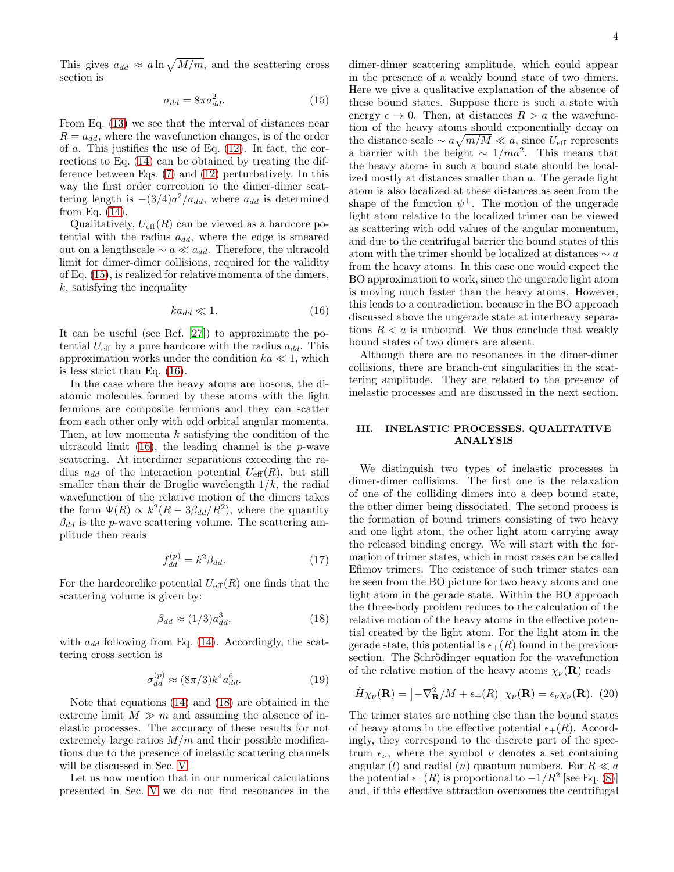This gives  $a_{dd} \approx a \ln \sqrt{M/m}$ , and the scattering cross section is

<span id="page-3-1"></span>
$$
\sigma_{dd} = 8\pi a_{dd}^2. \tag{15}
$$

From Eq. [\(13\)](#page-2-4) we see that the interval of distances near  $R = a_{dd}$ , where the wavefunction changes, is of the order of  $a$ . This justifies the use of Eq.  $(12)$ . In fact, the corrections to Eq. [\(14\)](#page-2-6) can be obtained by treating the difference between Eqs. [\(7\)](#page-2-2) and [\(12\)](#page-2-5) perturbatively. In this way the first order correction to the dimer-dimer scattering length is  $-(3/4)a^2/a_{dd}$ , where  $a_{dd}$  is determined from Eq. [\(14\)](#page-2-6).

Qualitatively,  $U_{\text{eff}}(R)$  can be viewed as a hardcore potential with the radius  $a_{dd}$ , where the edge is smeared out on a lengthscale  $\sim a \ll a_{dd}$ . Therefore, the ultracold limit for dimer-dimer collisions, required for the validity of Eq. [\(15\)](#page-3-1), is realized for relative momenta of the dimers,  $k$ , satisfying the inequality

<span id="page-3-2"></span>
$$
ka_{dd} \ll 1. \tag{16}
$$

It can be useful (see Ref. [\[27](#page-13-24)]) to approximate the potential  $U_{\text{eff}}$  by a pure hardcore with the radius  $a_{dd}$ . This approximation works under the condition  $ka \ll 1$ , which is less strict than Eq. [\(16\)](#page-3-2).

In the case where the heavy atoms are bosons, the diatomic molecules formed by these atoms with the light fermions are composite fermions and they can scatter from each other only with odd orbital angular momenta. Then, at low momenta  $k$  satisfying the condition of the ultracold limit  $(16)$ , the leading channel is the *p*-wave scattering. At interdimer separations exceeding the radius  $a_{dd}$  of the interaction potential  $U_{\text{eff}}(R)$ , but still smaller than their de Broglie wavelength  $1/k$ , the radial wavefunction of the relative motion of the dimers takes the form  $\Psi(R) \propto k^2(R - 3\beta_{dd}/R^2)$ , where the quantity  $\beta_{dd}$  is the p-wave scattering volume. The scattering amplitude then reads

$$
f_{dd}^{(p)} = k^2 \beta_{dd}.\tag{17}
$$

For the hardcorelike potential  $U_{\text{eff}}(R)$  one finds that the scattering volume is given by:

<span id="page-3-3"></span>
$$
\beta_{dd} \approx (1/3) a_{dd}^3,\tag{18}
$$

with  $a_{dd}$  following from Eq. [\(14\)](#page-2-6). Accordingly, the scattering cross section is

$$
\sigma_{dd}^{(p)} \approx (8\pi/3)k^4 a_{dd}^6.
$$
 (19)

Note that equations [\(14\)](#page-2-6) and [\(18\)](#page-3-3) are obtained in the extreme limit  $M \gg m$  and assuming the absence of inelastic processes. The accuracy of these results for not extremely large ratios  $M/m$  and their possible modifications due to the presence of inelastic scattering channels will be discussed in Sec. [V.](#page-7-0)

Let us now mention that in our numerical calculations presented in Sec. [V](#page-7-0) we do not find resonances in the

dimer-dimer scattering amplitude, which could appear in the presence of a weakly bound state of two dimers. Here we give a qualitative explanation of the absence of these bound states. Suppose there is such a state with energy  $\epsilon \to 0$ . Then, at distances  $R > a$  the wavefunction of the heavy atoms should exponentially decay on the distance scale  $\sim a\sqrt{m/M} \ll a$ , since  $U_{\text{eff}}$  represents a barrier with the height  $\sim 1/ma^2$ . This means that the heavy atoms in such a bound state should be localized mostly at distances smaller than a. The gerade light atom is also localized at these distances as seen from the shape of the function  $\psi^+$ . The motion of the ungerade light atom relative to the localized trimer can be viewed as scattering with odd values of the angular momentum, and due to the centrifugal barrier the bound states of this atom with the trimer should be localized at distances  $\sim a$ from the heavy atoms. In this case one would expect the BO approximation to work, since the ungerade light atom is moving much faster than the heavy atoms. However, this leads to a contradiction, because in the BO approach discussed above the ungerade state at interheavy separations  $R < a$  is unbound. We thus conclude that weakly bound states of two dimers are absent.

Although there are no resonances in the dimer-dimer collisions, there are branch-cut singularities in the scattering amplitude. They are related to the presence of inelastic processes and are discussed in the next section.

### <span id="page-3-0"></span>III. INELASTIC PROCESSES. QUALITATIVE ANALYSIS

We distinguish two types of inelastic processes in dimer-dimer collisions. The first one is the relaxation of one of the colliding dimers into a deep bound state, the other dimer being dissociated. The second process is the formation of bound trimers consisting of two heavy and one light atom, the other light atom carrying away the released binding energy. We will start with the formation of trimer states, which in most cases can be called Efimov trimers. The existence of such trimer states can be seen from the BO picture for two heavy atoms and one light atom in the gerade state. Within the BO approach the three-body problem reduces to the calculation of the relative motion of the heavy atoms in the effective potential created by the light atom. For the light atom in the gerade state, this potential is  $\epsilon_{+}(R)$  found in the previous section. The Schrödinger equation for the wavefunction of the relative motion of the heavy atoms  $\chi_{\nu}(\mathbf{R})$  reads

<span id="page-3-4"></span>
$$
\hat{H}\chi_{\nu}(\mathbf{R}) = \left[-\nabla_{\mathbf{R}}^2/M + \epsilon_+(R)\right]\chi_{\nu}(\mathbf{R}) = \epsilon_{\nu}\chi_{\nu}(\mathbf{R}). \tag{20}
$$

The trimer states are nothing else than the bound states of heavy atoms in the effective potential  $\epsilon_{+}(R)$ . Accordingly, they correspond to the discrete part of the spectrum  $\epsilon_{\nu}$ , where the symbol  $\nu$  denotes a set containing angular (l) and radial (n) quantum numbers. For  $R \ll a$ the potential  $\epsilon_{+}(R)$  is proportional to  $-1/R^2$  [see Eq. [\(8\)](#page-2-7)] and, if this effective attraction overcomes the centrifugal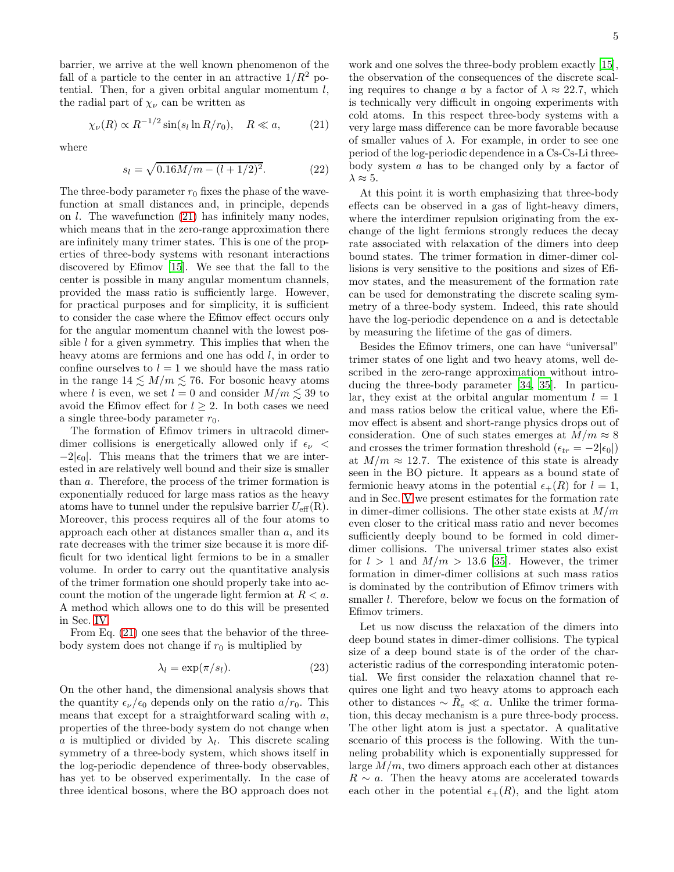barrier, we arrive at the well known phenomenon of the fall of a particle to the center in an attractive  $1/R^2$  potential. Then, for a given orbital angular momentum  $l$ , the radial part of  $\chi_{\nu}$  can be written as

<span id="page-4-0"></span>
$$
\chi_{\nu}(R) \propto R^{-1/2} \sin(s_l \ln R/r_0), \quad R \ll a,\tag{21}
$$

where

<span id="page-4-2"></span>
$$
s_l = \sqrt{0.16M/m - (l + 1/2)^2}.
$$
 (22)

The three-body parameter  $r_0$  fixes the phase of the wavefunction at small distances and, in principle, depends on  $l$ . The wavefunction  $(21)$  has infinitely many nodes, which means that in the zero-range approximation there are infinitely many trimer states. This is one of the properties of three-body systems with resonant interactions discovered by Efimov [\[15](#page-13-12)]. We see that the fall to the center is possible in many angular momentum channels, provided the mass ratio is sufficiently large. However, for practical purposes and for simplicity, it is sufficient to consider the case where the Efimov effect occurs only for the angular momentum channel with the lowest possible  $l$  for a given symmetry. This implies that when the heavy atoms are fermions and one has odd  $l$ , in order to confine ourselves to  $l = 1$  we should have the mass ratio in the range  $14 \leq M/m \leq 76$ . For bosonic heavy atoms where l is even, we set  $l = 0$  and consider  $M/m \lesssim 39$  to avoid the Efimov effect for  $l \geq 2$ . In both cases we need a single three-body parameter  $r_0$ .

The formation of Efimov trimers in ultracold dimerdimer collisions is energetically allowed only if  $\epsilon_{\nu}$  <  $-2|\epsilon_0|$ . This means that the trimers that we are interested in are relatively well bound and their size is smaller than a. Therefore, the process of the trimer formation is exponentially reduced for large mass ratios as the heavy atoms have to tunnel under the repulsive barrier  $U_{\text{eff}}(\text{R})$ . Moreover, this process requires all of the four atoms to approach each other at distances smaller than  $a$ , and its rate decreases with the trimer size because it is more difficult for two identical light fermions to be in a smaller volume. In order to carry out the quantitative analysis of the trimer formation one should properly take into account the motion of the ungerade light fermion at  $R < a$ . A method which allows one to do this will be presented in Sec. [IV.](#page-5-0)

From Eq. [\(21\)](#page-4-0) one sees that the behavior of the threebody system does not change if  $r_0$  is multiplied by

<span id="page-4-1"></span>
$$
\lambda_l = \exp(\pi/s_l). \tag{23}
$$

On the other hand, the dimensional analysis shows that the quantity  $\epsilon_{\nu}/\epsilon_0$  depends only on the ratio  $a/r_0$ . This means that except for a straightforward scaling with  $a$ , properties of the three-body system do not change when a is multiplied or divided by  $\lambda_l$ . This discrete scaling symmetry of a three-body system, which shows itself in the log-periodic dependence of three-body observables, has yet to be observed experimentally. In the case of three identical bosons, where the BO approach does not

work and one solves the three-body problem exactly [\[15\]](#page-13-12), the observation of the consequences of the discrete scaling requires to change a by a factor of  $\lambda \approx 22.7$ , which is technically very difficult in ongoing experiments with cold atoms. In this respect three-body systems with a very large mass difference can be more favorable because of smaller values of  $\lambda$ . For example, in order to see one period of the log-periodic dependence in a Cs-Cs-Li threebody system  $\alpha$  has to be changed only by a factor of  $\lambda \approx 5$ .

At this point it is worth emphasizing that three-body effects can be observed in a gas of light-heavy dimers, where the interdimer repulsion originating from the exchange of the light fermions strongly reduces the decay rate associated with relaxation of the dimers into deep bound states. The trimer formation in dimer-dimer collisions is very sensitive to the positions and sizes of Efimov states, and the measurement of the formation rate can be used for demonstrating the discrete scaling symmetry of a three-body system. Indeed, this rate should have the log-periodic dependence on a and is detectable by measuring the lifetime of the gas of dimers.

Besides the Efimov trimers, one can have "universal" trimer states of one light and two heavy atoms, well described in the zero-range approximation without introducing the three-body parameter [\[34,](#page-13-31) [35](#page-13-32)]. In particular, they exist at the orbital angular momentum  $l = 1$ and mass ratios below the critical value, where the Efimov effect is absent and short-range physics drops out of consideration. One of such states emerges at  $M/m \approx 8$ and crosses the trimer formation threshold  $(\epsilon_{tr} = -2|\epsilon_0|)$ at  $M/m \approx 12.7$ . The existence of this state is already seen in the BO picture. It appears as a bound state of fermionic heavy atoms in the potential  $\epsilon_{+}(R)$  for  $l=1$ , and in Sec. [V](#page-7-0) we present estimates for the formation rate in dimer-dimer collisions. The other state exists at  $M/m$ even closer to the critical mass ratio and never becomes sufficiently deeply bound to be formed in cold dimerdimer collisions. The universal trimer states also exist for  $l > 1$  and  $M/m > 13.6$  [\[35](#page-13-32)]. However, the trimer formation in dimer-dimer collisions at such mass ratios is dominated by the contribution of Efimov trimers with smaller *l*. Therefore, below we focus on the formation of Efimov trimers.

Let us now discuss the relaxation of the dimers into deep bound states in dimer-dimer collisions. The typical size of a deep bound state is of the order of the characteristic radius of the corresponding interatomic potential. We first consider the relaxation channel that requires one light and two heavy atoms to approach each other to distances  $\sim \tilde{R}_e \ll a$ . Unlike the trimer formation, this decay mechanism is a pure three-body process. The other light atom is just a spectator. A qualitative scenario of this process is the following. With the tunneling probability which is exponentially suppressed for large  $M/m$ , two dimers approach each other at distances  $R \sim a$ . Then the heavy atoms are accelerated towards each other in the potential  $\epsilon_{+}(R)$ , and the light atom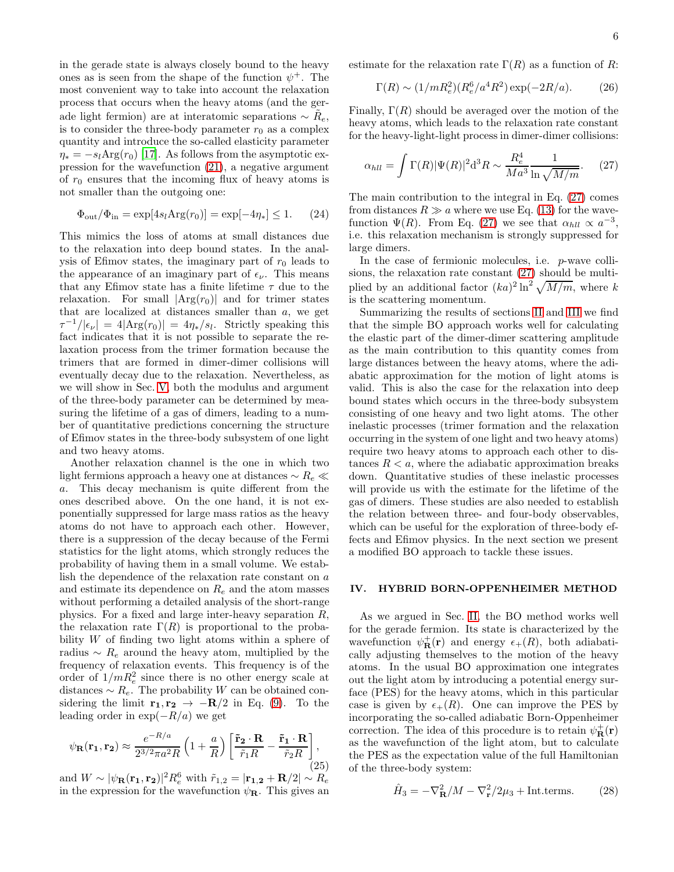in the gerade state is always closely bound to the heavy ones as is seen from the shape of the function  $\psi^+$ . The most convenient way to take into account the relaxation process that occurs when the heavy atoms (and the gerade light fermion) are at interatomic separations  $\sim \tilde{R}_e$ , is to consider the three-body parameter  $r_0$  as a complex quantity and introduce the so-called elasticity parameter  $\eta_* = -s_l \text{Arg}(r_0)$  [\[17\]](#page-13-14). As follows from the asymptotic expression for the wavefunction [\(21\)](#page-4-0), a negative argument of  $r_0$  ensures that the incoming flux of heavy atoms is not smaller than the outgoing one:

$$
\Phi_{\text{out}}/\Phi_{\text{in}} = \exp[4s_l \text{Arg}(r_0)] = \exp[-4\eta_*] \le 1. \tag{24}
$$

This mimics the loss of atoms at small distances due to the relaxation into deep bound states. In the analysis of Efimov states, the imaginary part of  $r_0$  leads to the appearance of an imaginary part of  $\epsilon_{\nu}$ . This means that any Efimov state has a finite lifetime  $\tau$  due to the relaxation. For small  $|\text{Arg}(r_0)|$  and for trimer states that are localized at distances smaller than a, we get  $\tau^{-1}/|\epsilon_{\nu}| = 4|\text{Arg}(r_0)| = 4\eta_*/s_l$ . Strictly speaking this fact indicates that it is not possible to separate the relaxation process from the trimer formation because the trimers that are formed in dimer-dimer collisions will eventually decay due to the relaxation. Nevertheless, as we will show in Sec. [V,](#page-7-0) both the modulus and argument of the three-body parameter can be determined by measuring the lifetime of a gas of dimers, leading to a number of quantitative predictions concerning the structure of Efimov states in the three-body subsystem of one light and two heavy atoms.

Another relaxation channel is the one in which two light fermions approach a heavy one at distances ∼ R<sup>e</sup> ≪ a. This decay mechanism is quite different from the ones described above. On the one hand, it is not exponentially suppressed for large mass ratios as the heavy atoms do not have to approach each other. However, there is a suppression of the decay because of the Fermi statistics for the light atoms, which strongly reduces the probability of having them in a small volume. We establish the dependence of the relaxation rate constant on a and estimate its dependence on  $R_e$  and the atom masses without performing a detailed analysis of the short-range physics. For a fixed and large inter-heavy separation R, the relaxation rate  $\Gamma(R)$  is proportional to the probability W of finding two light atoms within a sphere of radius  $∼ R_e$  around the heavy atom, multiplied by the frequency of relaxation events. This frequency is of the order of  $1/mR_e^2$  since there is no other energy scale at distances  $\sim R_e$ . The probability W can be obtained considering the limit  $\mathbf{r_1}, \mathbf{r_2} \rightarrow -\mathbf{R}/2$  in Eq. [\(9\)](#page-2-8). To the leading order in  $\exp(-R/a)$  we get

$$
\psi_{\mathbf{R}}(\mathbf{r_1}, \mathbf{r_2}) \approx \frac{e^{-R/a}}{2^{3/2}\pi a^2 R} \left(1 + \frac{a}{R}\right) \left[\frac{\tilde{\mathbf{r}}_2 \cdot \mathbf{R}}{\tilde{r}_1 R} - \frac{\tilde{\mathbf{r}}_1 \cdot \mathbf{R}}{\tilde{r}_2 R}\right],\tag{25}
$$

and  $W \sim |\psi_{\mathbf{R}}(\mathbf{r_1}, \mathbf{r_2})|^2 R_e^6$  with  $\tilde{r}_{1,2} = |\mathbf{r_{1,2}} + \mathbf{R}/2| \sim R_e$ in the expression for the wavefunction  $\psi_{\mathbf{R}}$ . This gives an estimate for the relaxation rate  $\Gamma(R)$  as a function of R:

$$
\Gamma(R) \sim (1/mR_e^2)(R_e^6/a^4R^2) \exp(-2R/a). \tag{26}
$$

Finally,  $\Gamma(R)$  should be averaged over the motion of the heavy atoms, which leads to the relaxation rate constant for the heavy-light-light process in dimer-dimer collisions:

<span id="page-5-1"></span>
$$
\alpha_{hll} = \int \Gamma(R) |\Psi(R)|^2 \mathrm{d}^3 R \sim \frac{R_e^4}{M a^3} \frac{1}{\ln \sqrt{M/m}}. \tag{27}
$$

The main contribution to the integral in Eq. [\(27\)](#page-5-1) comes from distances  $R \gg a$  where we use Eq. [\(13\)](#page-2-4) for the wavefunction  $\Psi(R)$ . From Eq. [\(27\)](#page-5-1) we see that  $\alpha_{hll} \propto a^{-3}$ , i.e. this relaxation mechanism is strongly suppressed for large dimers.

In the case of fermionic molecules, i.e. p-wave collisions, the relaxation rate constant [\(27\)](#page-5-1) should be multiplied by an additional factor  $(ka)^2 \ln^2 \sqrt{M/m}$ , where k is the scattering momentum.

Summarizing the results of sections [II](#page-1-0) and [III](#page-3-0) we find that the simple BO approach works well for calculating the elastic part of the dimer-dimer scattering amplitude as the main contribution to this quantity comes from large distances between the heavy atoms, where the adiabatic approximation for the motion of light atoms is valid. This is also the case for the relaxation into deep bound states which occurs in the three-body subsystem consisting of one heavy and two light atoms. The other inelastic processes (trimer formation and the relaxation occurring in the system of one light and two heavy atoms) require two heavy atoms to approach each other to distances  $R < a$ , where the adiabatic approximation breaks down. Quantitative studies of these inelastic processes will provide us with the estimate for the lifetime of the gas of dimers. These studies are also needed to establish the relation between three- and four-body observables, which can be useful for the exploration of three-body effects and Efimov physics. In the next section we present a modified BO approach to tackle these issues.

### <span id="page-5-0"></span>IV. HYBRID BORN-OPPENHEIMER METHOD

As we argued in Sec. [II,](#page-1-0) the BO method works well for the gerade fermion. Its state is characterized by the wavefunction  $\psi_{\mathbf{R}}^{+}(\mathbf{r})$  and energy  $\epsilon_{+}(R)$ , both adiabatically adjusting themselves to the motion of the heavy atoms. In the usual BO approximation one integrates out the light atom by introducing a potential energy surface (PES) for the heavy atoms, which in this particular case is given by  $\epsilon_{+}(R)$ . One can improve the PES by incorporating the so-called adiabatic Born-Oppenheimer correction. The idea of this procedure is to retain  $\psi_{\mathbf{R}}^{+}(\mathbf{r})$ as the wavefunction of the light atom, but to calculate the PES as the expectation value of the full Hamiltonian of the three-body system:

$$
\hat{H}_3 = -\nabla^2 \mathbf{R}/M - \nabla^2 \mathbf{r}/2\mu_3 + \text{Int.terms.} \tag{28}
$$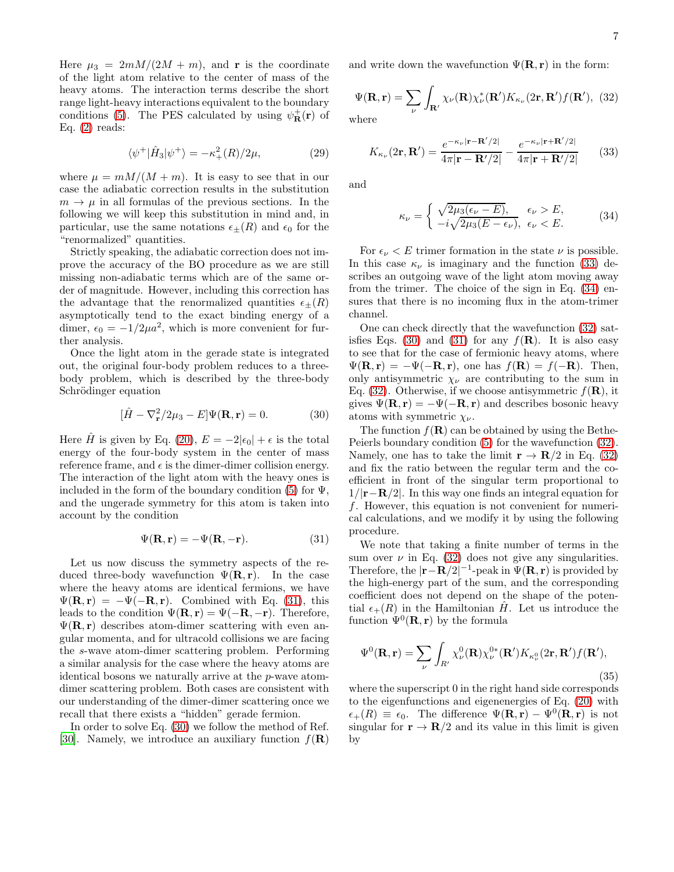Here  $\mu_3 = 2mM/(2M + m)$ , and **r** is the coordinate of the light atom relative to the center of mass of the heavy atoms. The interaction terms describe the short range light-heavy interactions equivalent to the boundary conditions [\(5\)](#page-2-9). The PES calculated by using  $\psi_{\mathbf{R}}^{+}(\mathbf{r})$  of Eq.  $(2)$  reads:

$$
\langle \psi^+ | \hat{H}_3 | \psi^+ \rangle = -\kappa_+^2(R)/2\mu, \tag{29}
$$

where  $\mu = mM/(M+m)$ . It is easy to see that in our case the adiabatic correction results in the substitution  $m \to \mu$  in all formulas of the previous sections. In the following we will keep this substitution in mind and, in particular, use the same notations  $\epsilon_{\pm}(R)$  and  $\epsilon_0$  for the "renormalized" quantities.

Strictly speaking, the adiabatic correction does not improve the accuracy of the BO procedure as we are still missing non-adiabatic terms which are of the same order of magnitude. However, including this correction has the advantage that the renormalized quantities  $\epsilon_{\pm}(R)$ asymptotically tend to the exact binding energy of a dimer,  $\epsilon_0 = -1/2\mu a^2$ , which is more convenient for further analysis.

Once the light atom in the gerade state is integrated out, the original four-body problem reduces to a threebody problem, which is described by the three-body Schrödinger equation

<span id="page-6-1"></span>
$$
[\hat{H} - \nabla_{\mathbf{r}}^2 / 2\mu_3 - E] \Psi(\mathbf{R}, \mathbf{r}) = 0.
$$
 (30)

Here H is given by Eq. [\(20\)](#page-3-4),  $E = -2|\epsilon_0| + \epsilon$  is the total energy of the four-body system in the center of mass reference frame, and  $\epsilon$  is the dimer-dimer collision energy. The interaction of the light atom with the heavy ones is included in the form of the boundary condition [\(5\)](#page-2-9) for  $\Psi$ , and the ungerade symmetry for this atom is taken into account by the condition

<span id="page-6-0"></span>
$$
\Psi(\mathbf{R}, \mathbf{r}) = -\Psi(\mathbf{R}, -\mathbf{r}).\tag{31}
$$

Let us now discuss the symmetry aspects of the reduced three-body wavefunction  $\Psi(\mathbf{R}, \mathbf{r})$ . In the case where the heavy atoms are identical fermions, we have  $\Psi(\mathbf{R}, \mathbf{r}) = -\Psi(-\mathbf{R}, \mathbf{r})$ . Combined with Eq. [\(31\)](#page-6-0), this leads to the condition  $\Psi(\mathbf{R}, \mathbf{r}) = \Psi(-\mathbf{R}, -\mathbf{r})$ . Therefore,  $\Psi(\mathbf{R}, \mathbf{r})$  describes atom-dimer scattering with even angular momenta, and for ultracold collisions we are facing the s-wave atom-dimer scattering problem. Performing a similar analysis for the case where the heavy atoms are identical bosons we naturally arrive at the p-wave atomdimer scattering problem. Both cases are consistent with our understanding of the dimer-dimer scattering once we recall that there exists a "hidden" gerade fermion.

In order to solve Eq. [\(30\)](#page-6-1) we follow the method of Ref. [\[30\]](#page-13-27). Namely, we introduce an auxiliary function  $f(\mathbf{R})$  and write down the wavefunction  $\Psi(\mathbf{R}, \mathbf{r})$  in the form:

<span id="page-6-4"></span>
$$
\Psi(\mathbf{R}, \mathbf{r}) = \sum_{\nu} \int_{\mathbf{R}'} \chi_{\nu}(\mathbf{R}) \chi_{\nu}^*(\mathbf{R}') K_{\kappa_{\nu}}(2\mathbf{r}, \mathbf{R}') f(\mathbf{R}'), \tag{32}
$$
where

<span id="page-6-2"></span>
$$
K_{\kappa_{\nu}}(2\mathbf{r}, \mathbf{R}') = \frac{e^{-\kappa_{\nu}|\mathbf{r} - \mathbf{R}'/2|}}{4\pi|\mathbf{r} - \mathbf{R}'/2|} - \frac{e^{-\kappa_{\nu}|\mathbf{r} + \mathbf{R}'/2|}}{4\pi|\mathbf{r} + \mathbf{R}'/2|} \qquad (33)
$$

and

<span id="page-6-3"></span>
$$
\kappa_{\nu} = \begin{cases} \sqrt{2\mu_3(\epsilon_{\nu} - E)}, & \epsilon_{\nu} > E, \\ -i\sqrt{2\mu_3(E - \epsilon_{\nu})}, & \epsilon_{\nu} < E. \end{cases}
$$
 (34)

For  $\epsilon_{\nu} < E$  trimer formation in the state  $\nu$  is possible. In this case  $\kappa_{\nu}$  is imaginary and the function [\(33\)](#page-6-2) describes an outgoing wave of the light atom moving away from the trimer. The choice of the sign in Eq. [\(34\)](#page-6-3) ensures that there is no incoming flux in the atom-trimer channel.

One can check directly that the wavefunction [\(32\)](#page-6-4) sat-isfies Eqs. [\(30\)](#page-6-1) and [\(31\)](#page-6-0) for any  $f(\mathbf{R})$ . It is also easy to see that for the case of fermionic heavy atoms, where  $\Psi(\mathbf{R}, \mathbf{r}) = -\Psi(-\mathbf{R}, \mathbf{r})$ , one has  $f(\mathbf{R}) = f(-\mathbf{R})$ . Then, only antisymmetric  $\chi_{\nu}$  are contributing to the sum in Eq. [\(32\)](#page-6-4). Otherwise, if we choose antisymmetric  $f(\mathbf{R})$ , it gives  $\Psi(\mathbf{R}, \mathbf{r}) = -\Psi(-\mathbf{R}, \mathbf{r})$  and describes bosonic heavy atoms with symmetric  $\chi_{\nu}$ .

The function  $f(\mathbf{R})$  can be obtained by using the Bethe-Peierls boundary condition [\(5\)](#page-2-9) for the wavefunction [\(32\)](#page-6-4). Namely, one has to take the limit  $\mathbf{r} \to \mathbf{R}/2$  in Eq. [\(32\)](#page-6-4) and fix the ratio between the regular term and the coefficient in front of the singular term proportional to  $1/|\mathbf{r}-\mathbf{R}/2|$ . In this way one finds an integral equation for f. However, this equation is not convenient for numerical calculations, and we modify it by using the following procedure.

We note that taking a finite number of terms in the sum over  $\nu$  in Eq. [\(32\)](#page-6-4) does not give any singularities. Therefore, the  $|\mathbf{r} - \mathbf{R}/2|^{-1}$ -peak in  $\Psi(\mathbf{R}, \mathbf{r})$  is provided by the high-energy part of the sum, and the corresponding coefficient does not depend on the shape of the potential  $\epsilon_{+}(R)$  in the Hamiltonian H<sup>t</sup>. Let us introduce the function  $\Psi^0(\mathbf{R}, \mathbf{r})$  by the formula

<span id="page-6-5"></span>
$$
\Psi^{0}(\mathbf{R}, \mathbf{r}) = \sum_{\nu} \int_{R'} \chi^{0}_{\nu}(\mathbf{R}) \chi^{0*}_{\nu}(\mathbf{R'}) K_{\kappa^{0}_{\nu}}(2\mathbf{r}, \mathbf{R'}) f(\mathbf{R'}),
$$
\n(35)

where the superscript 0 in the right hand side corresponds to the eigenfunctions and eigenenergies of Eq. [\(20\)](#page-3-4) with  $\epsilon_{+}(R) \equiv \epsilon_0$ . The difference  $\Psi(\mathbf{R}, \mathbf{r}) - \Psi^0(\mathbf{R}, \mathbf{r})$  is not singular for  $\mathbf{r} \to \mathbf{R}/2$  and its value in this limit is given by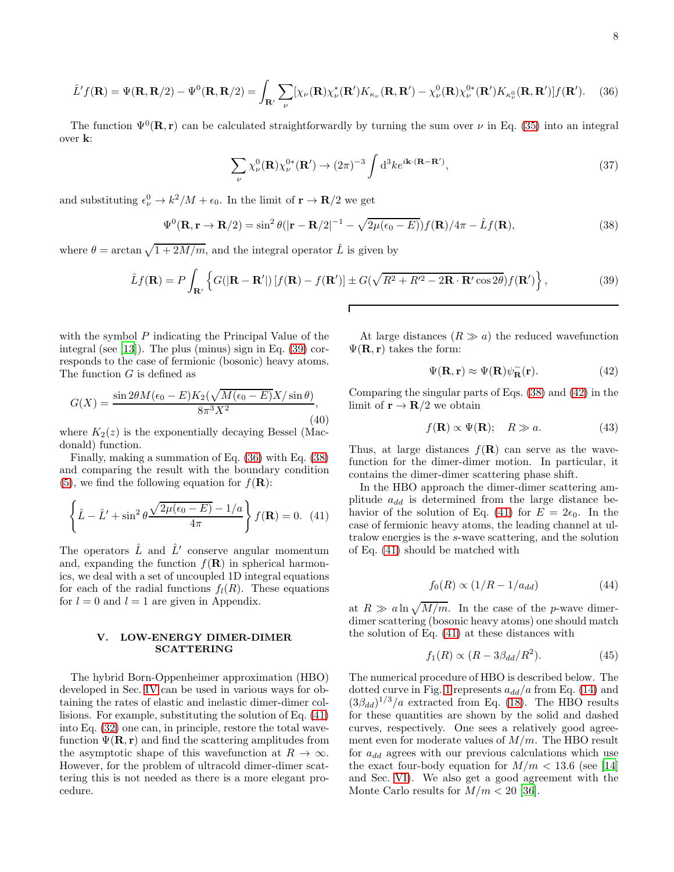<span id="page-7-2"></span>
$$
\hat{L}'f(\mathbf{R}) = \Psi(\mathbf{R}, \mathbf{R}/2) - \Psi^0(\mathbf{R}, \mathbf{R}/2) = \int_{\mathbf{R}'} \sum_{\nu} [\chi_{\nu}(\mathbf{R}) \chi_{\nu}^*(\mathbf{R}') K_{\kappa_{\nu}}(\mathbf{R}, \mathbf{R}') - \chi_{\nu}^0(\mathbf{R}) \chi_{\nu}^{0*}(\mathbf{R}') K_{\kappa_{\nu}^0}(\mathbf{R}, \mathbf{R}')] f(\mathbf{R}').
$$
 (36)

The function  $\Psi^0(\mathbf{R}, \mathbf{r})$  can be calculated straightforwardly by turning the sum over  $\nu$  in Eq. [\(35\)](#page-6-5) into an integral over k:

$$
\sum_{\nu} \chi_{\nu}^{0}(\mathbf{R}) \chi_{\nu}^{0*}(\mathbf{R}') \to (2\pi)^{-3} \int d^{3}k e^{i\mathbf{k} \cdot (\mathbf{R} - \mathbf{R}')},\tag{37}
$$

and substituting  $\epsilon_{\nu}^0 \to k^2/M + \epsilon_0$ . In the limit of  $\mathbf{r} \to \mathbf{R}/2$  we get

<span id="page-7-3"></span>
$$
\Psi^{0}(\mathbf{R}, \mathbf{r} \to \mathbf{R}/2) = \sin^{2} \theta (|\mathbf{r} - \mathbf{R}/2|^{-1} - \sqrt{2\mu(\epsilon_{0} - E)}) f(\mathbf{R})/4\pi - \hat{L} f(\mathbf{R}), \tag{38}
$$

where  $\theta = \arctan \sqrt{1 + 2M/m}$ , and the integral operator  $\hat{L}$  is given by

<span id="page-7-1"></span>
$$
\hat{L}f(\mathbf{R}) = P \int_{\mathbf{R}'} \left\{ G(|\mathbf{R} - \mathbf{R}'|) \left[ f(\mathbf{R}) - f(\mathbf{R}') \right] \pm G(\sqrt{R^2 + R'^2 - 2\mathbf{R} \cdot \mathbf{R}' \cos 2\theta}) f(\mathbf{R}') \right\},\tag{39}
$$

with the symbol P indicating the Principal Value of the integral (see [\[13](#page-13-10)]). The plus (minus) sign in Eq. [\(39\)](#page-7-1) corresponds to the case of fermionic (bosonic) heavy atoms. The function  $G$  is defined as

$$
G(X) = \frac{\sin 2\theta M(\epsilon_0 - E)K_2(\sqrt{M(\epsilon_0 - E)}X/\sin \theta)}{8\pi^3 X^2},\tag{40}
$$

where  $K_2(z)$  is the exponentially decaying Bessel (Macdonald) function.

Finally, making a summation of Eq. [\(36\)](#page-7-2) with Eq. [\(38\)](#page-7-3) and comparing the result with the boundary condition [\(5\)](#page-2-9), we find the following equation for  $f(\mathbf{R})$ :

<span id="page-7-4"></span>
$$
\left\{\hat{L} - \hat{L}' + \sin^2\theta \frac{\sqrt{2\mu(\epsilon_0 - E)} - 1/a}{4\pi}\right\} f(\mathbf{R}) = 0. \tag{41}
$$

The operators  $\hat{L}$  and  $\hat{L}'$  conserve angular momentum and, expanding the function  $f(\mathbf{R})$  in spherical harmonics, we deal with a set of uncoupled 1D integral equations for each of the radial functions  $f_l(R)$ . These equations for  $l = 0$  and  $l = 1$  are given in Appendix.

# <span id="page-7-0"></span>V. LOW-ENERGY DIMER-DIMER **SCATTERING**

The hybrid Born-Oppenheimer approximation (HBO) developed in Sec. [IV](#page-5-0) can be used in various ways for obtaining the rates of elastic and inelastic dimer-dimer collisions. For example, substituting the solution of Eq. [\(41\)](#page-7-4) into Eq. [\(32\)](#page-6-4) one can, in principle, restore the total wavefunction  $\Psi(\mathbf{R}, \mathbf{r})$  and find the scattering amplitudes from the asymptotic shape of this wavefunction at  $R \to \infty$ . However, for the problem of ultracold dimer-dimer scattering this is not needed as there is a more elegant procedure.

At large distances  $(R \gg a)$  the reduced wavefunction  $\Psi(\mathbf{R}, \mathbf{r})$  takes the form:

<span id="page-7-5"></span>
$$
\Psi(\mathbf{R}, \mathbf{r}) \approx \Psi(\mathbf{R}) \psi_{\mathbf{R}}^-(\mathbf{r}).\tag{42}
$$

Comparing the singular parts of Eqs. [\(38\)](#page-7-3) and [\(42\)](#page-7-5) in the limit of  $\mathbf{r} \to \mathbf{R}/2$  we obtain

$$
f(\mathbf{R}) \propto \Psi(\mathbf{R}); \quad R \gg a. \tag{43}
$$

Thus, at large distances  $f(\mathbf{R})$  can serve as the wavefunction for the dimer-dimer motion. In particular, it contains the dimer-dimer scattering phase shift.

In the HBO approach the dimer-dimer scattering amplitude  $a_{dd}$  is determined from the large distance be-havior of the solution of Eq. [\(41\)](#page-7-4) for  $E = 2\epsilon_0$ . In the case of fermionic heavy atoms, the leading channel at ultralow energies is the s-wave scattering, and the solution of Eq. [\(41\)](#page-7-4) should be matched with

<span id="page-7-6"></span>
$$
f_0(R) \propto (1/R - 1/a_{dd})\tag{44}
$$

at  $R \gg a \ln \sqrt{M/m}$ . In the case of the p-wave dimerdimer scattering (bosonic heavy atoms) one should match the solution of Eq. [\(41\)](#page-7-4) at these distances with

<span id="page-7-7"></span>
$$
f_1(R) \propto (R - 3\beta_{dd}/R^2). \tag{45}
$$

The numerical procedure of HBO is described below. The dotted curve in Fig. [1](#page-8-0) represents  $a_{dd}/a$  from Eq. [\(14\)](#page-2-6) and  $(3\beta_{dd})^{1/3}/a$  extracted from Eq. [\(18\)](#page-3-3). The HBO results for these quantities are shown by the solid and dashed curves, respectively. One sees a relatively good agreement even for moderate values of  $M/m$ . The HBO result for  $a_{dd}$  agrees with our previous calculations which use the exact four-body equation for  $M/m < 13.6$  (see [\[14](#page-13-11)]) and Sec. [VI\)](#page-10-0). We also get a good agreement with the Monte Carlo results for  $M/m < 20$  [\[36](#page-13-33)].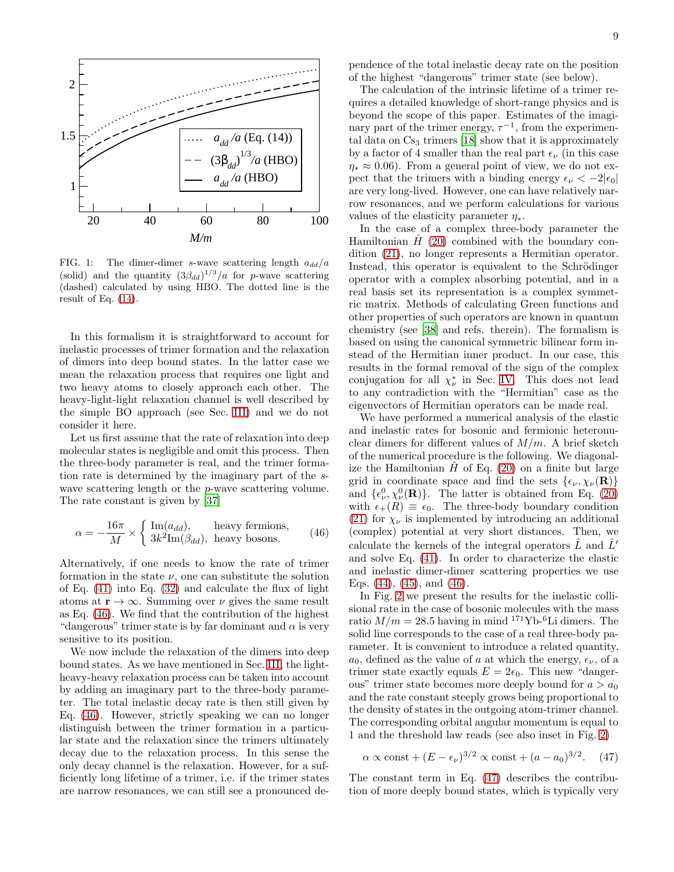

<span id="page-8-0"></span>FIG. 1: The dimer-dimer s-wave scattering length  $a_{dd}/a$ (solid) and the quantity  $(3\beta_{dd})^{1/3}/a$  for p-wave scattering (dashed) calculated by using HBO. The dotted line is the result of Eq.  $(14)$ .

In this formalism it is straightforward to account for inelastic processes of trimer formation and the relaxation of dimers into deep bound states. In the latter case we mean the relaxation process that requires one light and two heavy atoms to closely approach each other. The heavy-light-light relaxation channel is well described by the simple BO approach (see Sec. [III\)](#page-3-0) and we do not consider it here.

Let us first assume that the rate of relaxation into deep molecular states is negligible and omit this process. Then the three-body parameter is real, and the trimer formation rate is determined by the imaginary part of the swave scattering length or the *p*-wave scattering volume. The rate constant is given by [\[37\]](#page-13-34)

<span id="page-8-1"></span>
$$
\alpha = -\frac{16\pi}{M} \times \begin{cases} \text{Im}(a_{dd}), & \text{heavy fermions,} \\ 3k^2 \text{Im}(\beta_{dd}), & \text{heavy bosons.} \end{cases}
$$
(46)

Alternatively, if one needs to know the rate of trimer formation in the state  $\nu$ , one can substitute the solution of Eq. [\(41\)](#page-7-4) into Eq. [\(32\)](#page-6-4) and calculate the flux of light atoms at  $\mathbf{r} \to \infty$ . Summing over  $\nu$  gives the same result as Eq. [\(46\)](#page-8-1). We find that the contribution of the highest "dangerous" trimer state is by far dominant and  $\alpha$  is very sensitive to its position.

We now include the relaxation of the dimers into deep bound states. As we have mentioned in Sec. [III,](#page-3-0) the lightheavy-heavy relaxation process can be taken into account by adding an imaginary part to the three-body parameter. The total inelastic decay rate is then still given by Eq. [\(46\)](#page-8-1). However, strictly speaking we can no longer distinguish between the trimer formation in a particular state and the relaxation since the trimers ultimately decay due to the relaxation process. In this sense the only decay channel is the relaxation. However, for a sufficiently long lifetime of a trimer, i.e. if the trimer states are narrow resonances, we can still see a pronounced dependence of the total inelastic decay rate on the position of the highest "dangerous" trimer state (see below).

The calculation of the intrinsic lifetime of a trimer requires a detailed knowledge of short-range physics and is beyond the scope of this paper. Estimates of the imaginary part of the trimer energy,  $\tau^{-1}$ , from the experimental data on  $Cs<sub>3</sub>$  trimers [\[18](#page-13-15)] show that it is approximately by a factor of 4 smaller than the real part  $\epsilon_{\nu}$  (in this case  $\eta_* \approx 0.06$ ). From a general point of view, we do not expect that the trimers with a binding energy  $\epsilon_{\nu} < -2|\epsilon_0|$ are very long-lived. However, one can have relatively narrow resonances, and we perform calculations for various values of the elasticity parameter  $\eta_*$ .

In the case of a complex three-body parameter the Hamiltonian  $\hat{H}$  [\(20\)](#page-3-4) combined with the boundary condition [\(21\)](#page-4-0), no longer represents a Hermitian operator. Instead, this operator is equivalent to the Schrödinger operator with a complex absorbing potential, and in a real basis set its representation is a complex symmetric matrix. Methods of calculating Green functions and other properties of such operators are known in quantum chemistry (see [\[38\]](#page-13-35) and refs. therein). The formalism is based on using the canonical symmetric bilinear form instead of the Hermitian inner product. In our case, this results in the formal removal of the sign of the complex conjugation for all  $\chi^*_{\nu}$  in Sec. [IV.](#page-5-0) This does not lead to any contradiction with the "Hermitian" case as the eigenvectors of Hermitian operators can be made real.

We have performed a numerical analysis of the elastic and inelastic rates for bosonic and fermionic heteronuclear dimers for different values of  $M/m$ . A brief sketch of the numerical procedure is the following. We diagonalize the Hamiltonian  $H$  of Eq. [\(20\)](#page-3-4) on a finite but large grid in coordinate space and find the sets  $\{\epsilon_{\nu}, \chi_{\nu}(\mathbf{R})\}$ and  $\{\epsilon_{\nu}^0, \chi_{\nu}^0(\mathbf{R})\}$ . The latter is obtained from Eq. [\(20\)](#page-3-4) with  $\epsilon_{+}(R) \equiv \epsilon_0$ . The three-body boundary condition [\(21\)](#page-4-0) for  $\chi_{\nu}$  is implemented by introducing an additional (complex) potential at very short distances. Then, we calculate the kernels of the integral operators  $\hat{L}$  and  $\hat{L}'$ and solve Eq. [\(41\)](#page-7-4). In order to characterize the elastic and inelastic dimer-dimer scattering properties we use Eqs.  $(44)$ ,  $(45)$ , and  $(46)$ .

In Fig. [2](#page-9-0) we present the results for the inelastic collisional rate in the case of bosonic molecules with the mass ratio  $M/m = 28.5$  having in mind <sup>171</sup>Yb-<sup>6</sup>Li dimers. The solid line corresponds to the case of a real three-body parameter. It is convenient to introduce a related quantity,  $a_0$ , defined as the value of a at which the energy,  $\epsilon_{\nu}$ , of a trimer state exactly equals  $E = 2\epsilon_0$ . This new "dangerous" trimer state becomes more deeply bound for  $a > a_0$ and the rate constant steeply grows being proportional to the density of states in the outgoing atom-trimer channel. The corresponding orbital angular momentum is equal to 1 and the threshold law reads (see also inset in Fig. [2\)](#page-9-0)

<span id="page-8-2"></span>
$$
\alpha \propto \text{const} + (E - \epsilon_{\nu})^{3/2} \propto \text{const} + (a - a_0)^{3/2}. \quad (47)
$$

The constant term in Eq. [\(47\)](#page-8-2) describes the contribution of more deeply bound states, which is typically very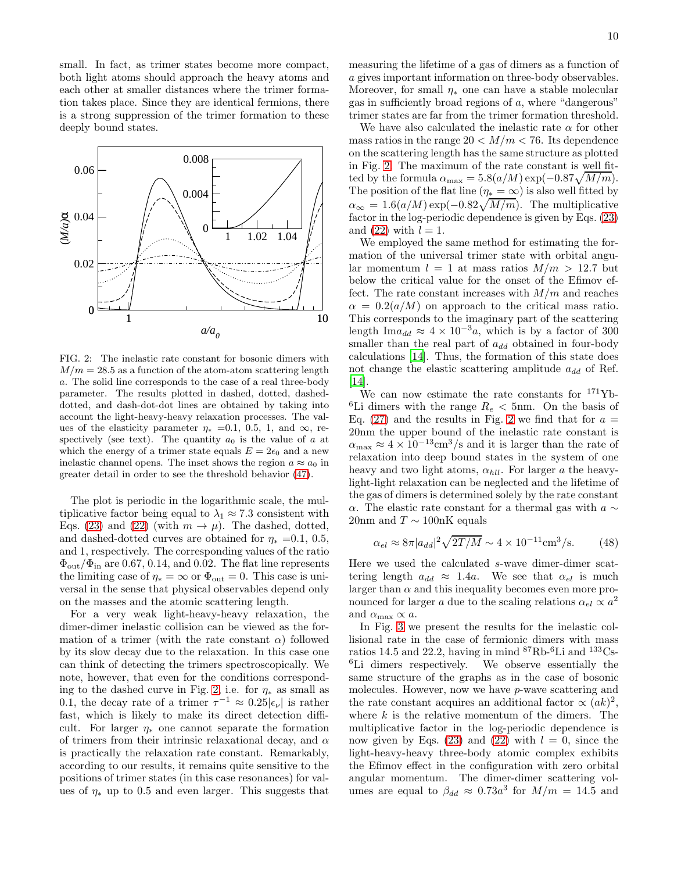small. In fact, as trimer states become more compact, both light atoms should approach the heavy atoms and each other at smaller distances where the trimer formation takes place. Since they are identical fermions, there is a strong suppression of the trimer formation to these deeply bound states.



<span id="page-9-0"></span>FIG. 2: The inelastic rate constant for bosonic dimers with  $M/m = 28.5$  as a function of the atom-atom scattering length a. The solid line corresponds to the case of a real three-body parameter. The results plotted in dashed, dotted, dasheddotted, and dash-dot-dot lines are obtained by taking into account the light-heavy-heavy relaxation processes. The values of the elasticity parameter  $\eta_* = 0.1, 0.5, 1,$  and  $\infty$ , respectively (see text). The quantity  $a_0$  is the value of a at which the energy of a trimer state equals  $E = 2\epsilon_0$  and a new inelastic channel opens. The inset shows the region  $a \approx a_0$  in greater detail in order to see the threshold behavior [\(47\)](#page-8-2).

The plot is periodic in the logarithmic scale, the multiplicative factor being equal to  $\lambda_1 \approx 7.3$  consistent with Eqs. [\(23\)](#page-4-1) and [\(22\)](#page-4-2) (with  $m \to \mu$ ). The dashed, dotted, and dashed-dotted curves are obtained for  $\eta_* = 0.1, 0.5,$ and 1, respectively. The corresponding values of the ratio  $\Phi_{\text{out}}/\Phi_{\text{in}}$  are 0.67, 0.14, and 0.02. The flat line represents the limiting case of  $\eta_* = \infty$  or  $\Phi_{\text{out}} = 0$ . This case is universal in the sense that physical observables depend only on the masses and the atomic scattering length.

For a very weak light-heavy-heavy relaxation, the dimer-dimer inelastic collision can be viewed as the formation of a trimer (with the rate constant  $\alpha$ ) followed by its slow decay due to the relaxation. In this case one can think of detecting the trimers spectroscopically. We note, however, that even for the conditions correspond-ing to the dashed curve in Fig. [2,](#page-9-0) i.e. for  $\eta_*$  as small as 0.1, the decay rate of a trimer  $\tau^{-1} \approx 0.25|\epsilon_{\nu}|$  is rather fast, which is likely to make its direct detection difficult. For larger  $\eta_*$  one cannot separate the formation of trimers from their intrinsic relaxational decay, and  $\alpha$ is practically the relaxation rate constant. Remarkably, according to our results, it remains quite sensitive to the positions of trimer states (in this case resonances) for values of  $\eta_*$  up to 0.5 and even larger. This suggests that

measuring the lifetime of a gas of dimers as a function of a gives important information on three-body observables. Moreover, for small  $\eta_*$  one can have a stable molecular gas in sufficiently broad regions of a, where "dangerous" trimer states are far from the trimer formation threshold.

We have also calculated the inelastic rate  $\alpha$  for other mass ratios in the range  $20 < M/m < 76$ . Its dependence on the scattering length has the same structure as plotted in Fig. [2.](#page-9-0) The maximum of the rate constant is well fitted by the formula  $\alpha_{\text{max}} = 5.8(a/M) \exp(-0.87 \sqrt{M/m}).$ The position of the flat line ( $\eta_* = \infty$ ) is also well fitted by  $\alpha_{\infty} = 1.6(a/M) \exp(-0.82\sqrt{M/m})$ . The multiplicative factor in the log-periodic dependence is given by Eqs. [\(23\)](#page-4-1) and [\(22\)](#page-4-2) with  $l = 1$ .

We employed the same method for estimating the formation of the universal trimer state with orbital angular momentum  $l = 1$  at mass ratios  $M/m > 12.7$  but below the critical value for the onset of the Efimov effect. The rate constant increases with  $M/m$  and reaches  $\alpha = 0.2(a/M)$  on approach to the critical mass ratio. This corresponds to the imaginary part of the scattering length Ima<sub>dd</sub>  $\approx 4 \times 10^{-3}a$ , which is by a factor of 300 smaller than the real part of  $a_{dd}$  obtained in four-body calculations [\[14](#page-13-11)]. Thus, the formation of this state does not change the elastic scattering amplitude  $a_{dd}$  of Ref. [\[14\]](#page-13-11).

We can now estimate the rate constants for <sup>171</sup>Yb-<sup>6</sup>Li dimers with the range  $R_e < 5$ nm. On the basis of Eq. [\(27\)](#page-5-1) and the results in Fig. [2](#page-9-0) we find that for  $a =$ 20nm the upper bound of the inelastic rate constant is  $\alpha_{\text{max}} \approx 4 \times 10^{-13} \text{cm}^3/\text{s}$  and it is larger than the rate of relaxation into deep bound states in the system of one heavy and two light atoms,  $\alpha_{hll}$ . For larger a the heavylight-light relaxation can be neglected and the lifetime of the gas of dimers is determined solely by the rate constant α. The elastic rate constant for a thermal gas with  $a \sim$ 20nm and  $T \sim 100$ nK equals

$$
\alpha_{el} \approx 8\pi |a_{dd}|^2 \sqrt{2T/M} \sim 4 \times 10^{-11} \text{cm}^3/\text{s}.
$$
 (48)

Here we used the calculated s-wave dimer-dimer scattering length  $a_{dd} \approx 1.4a$ . We see that  $\alpha_{el}$  is much larger than  $\alpha$  and this inequality becomes even more pronounced for larger a due to the scaling relations  $\alpha_{el} \propto a^2$ and  $\alpha_{\text{max}} \propto a$ .

In Fig. [3](#page-10-1) we present the results for the inelastic collisional rate in the case of fermionic dimers with mass ratios 14.5 and 22.2, having in mind  ${}^{87}\text{Rb-}{}^{6}\text{Li}$  and  ${}^{133}\text{Cs-}$ <sup>6</sup>Li dimers respectively. We observe essentially the same structure of the graphs as in the case of bosonic molecules. However, now we have p-wave scattering and the rate constant acquires an additional factor  $\propto (ak)^2$ , where  $k$  is the relative momentum of the dimers. The multiplicative factor in the log-periodic dependence is now given by Eqs. [\(23\)](#page-4-1) and [\(22\)](#page-4-2) with  $l = 0$ , since the light-heavy-heavy three-body atomic complex exhibits the Efimov effect in the configuration with zero orbital angular momentum. The dimer-dimer scattering volumes are equal to  $\beta_{dd} \approx 0.73a^3$  for  $M/m = 14.5$  and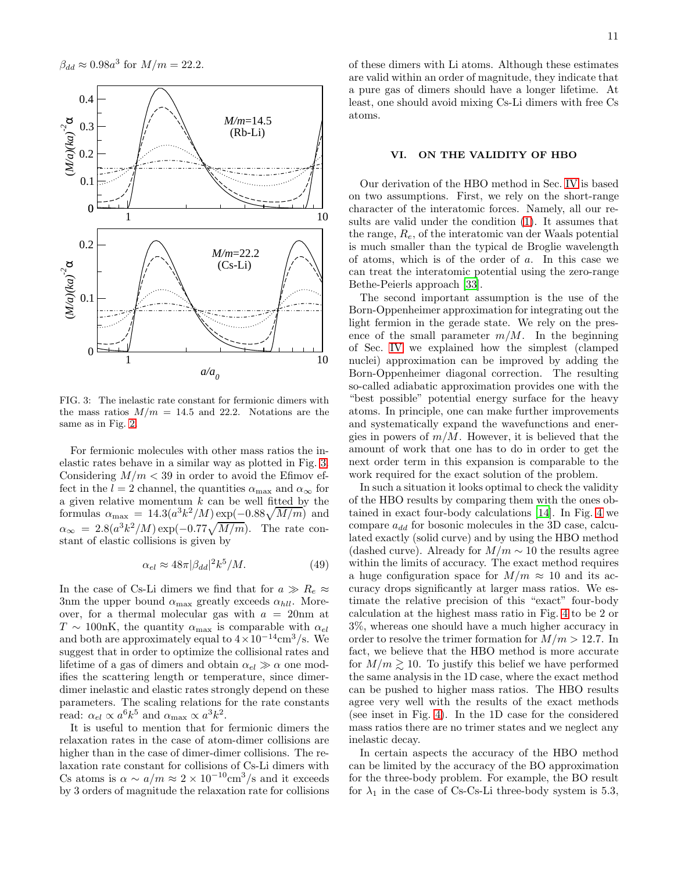

<span id="page-10-1"></span>FIG. 3: The inelastic rate constant for fermionic dimers with the mass ratios  $M/m = 14.5$  and 22.2. Notations are the same as in Fig. [2.](#page-9-0)

For fermionic molecules with other mass ratios the inelastic rates behave in a similar way as plotted in Fig. [3.](#page-10-1) Considering  $M/m < 39$  in order to avoid the Efimov effect in the  $l = 2$  channel, the quantities  $\alpha_{\text{max}}$  and  $\alpha_{\infty}$  for a given relative momentum  $k$  can be well fitted by the formulas  $\alpha_{\text{max}} = 14.3(a^3k^2/M) \exp(-0.88\sqrt{M/m})$  and  $\alpha_{\infty} = 2.8(a^3k^2/M) \exp(-0.77\sqrt{M/m})$ . The rate constant of elastic collisions is given by

$$
\alpha_{el} \approx 48\pi |\beta_{dd}|^2 k^5 / M. \tag{49}
$$

In the case of Cs-Li dimers we find that for  $a \gg R_e \approx$ 3nm the upper bound  $\alpha_{\text{max}}$  greatly exceeds  $\alpha_{\text{hll}}$ . Moreover, for a thermal molecular gas with  $a = 20$ nm at  $T \sim 100$ nK, the quantity  $\alpha_{\text{max}}$  is comparable with  $\alpha_{el}$ and both are approximately equal to  $4 \times 10^{-14}$ cm<sup>3</sup>/s. We suggest that in order to optimize the collisional rates and lifetime of a gas of dimers and obtain  $\alpha_{el} \gg \alpha$  one modifies the scattering length or temperature, since dimerdimer inelastic and elastic rates strongly depend on these parameters. The scaling relations for the rate constants read:  $\alpha_{el} \propto a^6 k^5$  and  $\alpha_{\text{max}} \propto a^3 k^2$ .

It is useful to mention that for fermionic dimers the relaxation rates in the case of atom-dimer collisions are higher than in the case of dimer-dimer collisions. The relaxation rate constant for collisions of Cs-Li dimers with Cs atoms is  $\alpha \sim a/m \approx 2 \times 10^{-10} \text{cm}^3/\text{s}$  and it exceeds by 3 orders of magnitude the relaxation rate for collisions of these dimers with Li atoms. Although these estimates are valid within an order of magnitude, they indicate that a pure gas of dimers should have a longer lifetime. At least, one should avoid mixing Cs-Li dimers with free Cs atoms.

# <span id="page-10-0"></span>VI. ON THE VALIDITY OF HBO

Our derivation of the HBO method in Sec. [IV](#page-5-0) is based on two assumptions. First, we rely on the short-range character of the interatomic forces. Namely, all our results are valid under the condition [\(1\)](#page-1-1). It assumes that the range,  $R_e$ , of the interatomic van der Waals potential is much smaller than the typical de Broglie wavelength of atoms, which is of the order of a. In this case we can treat the interatomic potential using the zero-range Bethe-Peierls approach [\[33](#page-13-30)].

The second important assumption is the use of the Born-Oppenheimer approximation for integrating out the light fermion in the gerade state. We rely on the presence of the small parameter  $m/M$ . In the beginning of Sec. [IV](#page-5-0) we explained how the simplest (clamped nuclei) approximation can be improved by adding the Born-Oppenheimer diagonal correction. The resulting so-called adiabatic approximation provides one with the "best possible" potential energy surface for the heavy atoms. In principle, one can make further improvements and systematically expand the wavefunctions and energies in powers of  $m/M$ . However, it is believed that the amount of work that one has to do in order to get the next order term in this expansion is comparable to the work required for the exact solution of the problem.

In such a situation it looks optimal to check the validity of the HBO results by comparing them with the ones obtained in exact four-body calculations [\[14\]](#page-13-11). In Fig. [4](#page-11-1) we compare  $a_{dd}$  for bosonic molecules in the 3D case, calculated exactly (solid curve) and by using the HBO method (dashed curve). Already for  $M/m \sim 10$  the results agree within the limits of accuracy. The exact method requires a huge configuration space for  $M/m \approx 10$  and its accuracy drops significantly at larger mass ratios. We estimate the relative precision of this "exact" four-body calculation at the highest mass ratio in Fig. [4](#page-11-1) to be 2 or 3%, whereas one should have a much higher accuracy in order to resolve the trimer formation for  $M/m > 12.7$ . In fact, we believe that the HBO method is more accurate for  $M/m \gtrsim 10$ . To justify this belief we have performed the same analysis in the 1D case, where the exact method can be pushed to higher mass ratios. The HBO results agree very well with the results of the exact methods (see inset in Fig. [4\)](#page-11-1). In the 1D case for the considered mass ratios there are no trimer states and we neglect any inelastic decay.

In certain aspects the accuracy of the HBO method can be limited by the accuracy of the BO approximation for the three-body problem. For example, the BO result for  $\lambda_1$  in the case of Cs-Cs-Li three-body system is 5.3,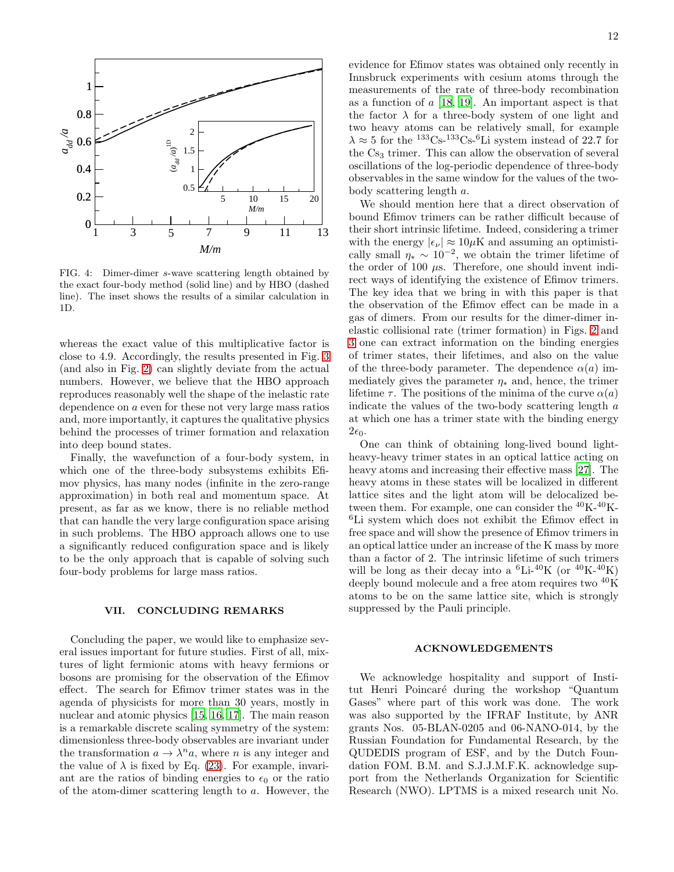

<span id="page-11-1"></span>FIG. 4: Dimer-dimer s-wave scattering length obtained by the exact four-body method (solid line) and by HBO (dashed line). The inset shows the results of a similar calculation in 1D.

whereas the exact value of this multiplicative factor is close to 4.9. Accordingly, the results presented in Fig. [3](#page-10-1) (and also in Fig. [2\)](#page-9-0) can slightly deviate from the actual numbers. However, we believe that the HBO approach reproduces reasonably well the shape of the inelastic rate dependence on a even for these not very large mass ratios and, more importantly, it captures the qualitative physics behind the processes of trimer formation and relaxation into deep bound states.

Finally, the wavefunction of a four-body system, in which one of the three-body subsystems exhibits Efimov physics, has many nodes (infinite in the zero-range approximation) in both real and momentum space. At present, as far as we know, there is no reliable method that can handle the very large configuration space arising in such problems. The HBO approach allows one to use a significantly reduced configuration space and is likely to be the only approach that is capable of solving such four-body problems for large mass ratios.

### <span id="page-11-0"></span>VII. CONCLUDING REMARKS

Concluding the paper, we would like to emphasize several issues important for future studies. First of all, mixtures of light fermionic atoms with heavy fermions or bosons are promising for the observation of the Efimov effect. The search for Efimov trimer states was in the agenda of physicists for more than 30 years, mostly in nuclear and atomic physics [\[15,](#page-13-12) [16,](#page-13-13) [17](#page-13-14)]. The main reason is a remarkable discrete scaling symmetry of the system: dimensionless three-body observables are invariant under the transformation  $a \to \lambda^n a$ , where *n* is any integer and the value of  $\lambda$  is fixed by Eq. [\(23\)](#page-4-1). For example, invariant are the ratios of binding energies to  $\epsilon_0$  or the ratio of the atom-dimer scattering length to a. However, the evidence for Efimov states was obtained only recently in Innsbruck experiments with cesium atoms through the measurements of the rate of three-body recombination as a function of  $a$  [\[18,](#page-13-15) [19](#page-13-16)]. An important aspect is that the factor  $\lambda$  for a three-body system of one light and two heavy atoms can be relatively small, for example  $\lambda \approx 5$  for the <sup>133</sup>Cs-<sup>133</sup>Cs-<sup>6</sup>Li system instead of 22.7 for the Cs<sub>3</sub> trimer. This can allow the observation of several oscillations of the log-periodic dependence of three-body observables in the same window for the values of the twobody scattering length a.

We should mention here that a direct observation of bound Efimov trimers can be rather difficult because of their short intrinsic lifetime. Indeed, considering a trimer with the energy  $|\epsilon_{\nu}| \approx 10 \mu K$  and assuming an optimistically small  $\eta_* \sim 10^{-2}$ , we obtain the trimer lifetime of the order of 100  $\mu$ s. Therefore, one should invent indirect ways of identifying the existence of Efimov trimers. The key idea that we bring in with this paper is that the observation of the Efimov effect can be made in a gas of dimers. From our results for the dimer-dimer inelastic collisional rate (trimer formation) in Figs. [2](#page-9-0) and [3](#page-10-1) one can extract information on the binding energies of trimer states, their lifetimes, and also on the value of the three-body parameter. The dependence  $\alpha(a)$  immediately gives the parameter  $\eta_*$  and, hence, the trimer lifetime  $\tau$ . The positions of the minima of the curve  $\alpha(a)$ indicate the values of the two-body scattering length a at which one has a trimer state with the binding energy  $2\epsilon_0$ .

One can think of obtaining long-lived bound lightheavy-heavy trimer states in an optical lattice acting on heavy atoms and increasing their effective mass [\[27](#page-13-24)]. The heavy atoms in these states will be localized in different lattice sites and the light atom will be delocalized between them. For example, one can consider the  $^{40}$ K- $^{40}$ K-<sup>6</sup>Li system which does not exhibit the Efimov effect in free space and will show the presence of Efimov trimers in an optical lattice under an increase of the K mass by more than a factor of 2. The intrinsic lifetime of such trimers will be long as their decay into a  ${}^{6}$ Li- ${}^{40}$ K (or  ${}^{40}$ K- ${}^{40}$ K) deeply bound molecule and a free atom requires two <sup>40</sup>K atoms to be on the same lattice site, which is strongly suppressed by the Pauli principle.

# ACKNOWLEDGEMENTS

We acknowledge hospitality and support of Institut Henri Poincaré during the workshop "Quantum Gases" where part of this work was done. The work was also supported by the IFRAF Institute, by ANR grants Nos. 05-BLAN-0205 and 06-NANO-014, by the Russian Foundation for Fundamental Research, by the QUDEDIS program of ESF, and by the Dutch Foundation FOM. B.M. and S.J.J.M.F.K. acknowledge support from the Netherlands Organization for Scientific Research (NWO). LPTMS is a mixed research unit No.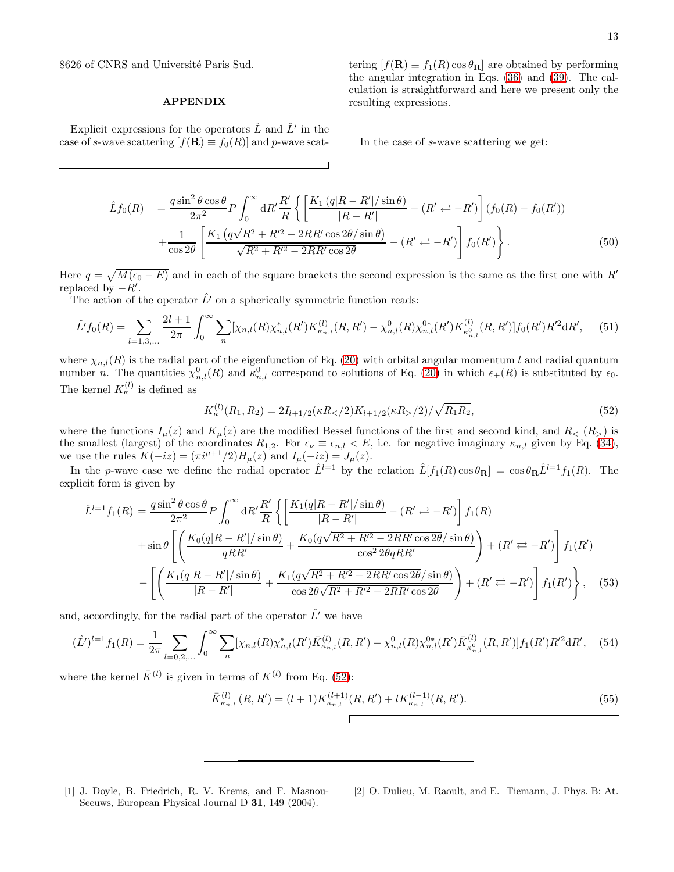8626 of CNRS and Université Paris Sud.

### APPENDIX

Explicit expressions for the operators  $\hat{L}$  and  $\hat{L}'$  in the case of s-wave scattering  $[f(\mathbf{R}) \equiv f_0(R)]$  and p-wave scat-

tering  $[f(\mathbf{R}) \equiv f_1(R) \cos \theta_{\mathbf{R}}]$  are obtained by performing the angular integration in Eqs. [\(36\)](#page-7-2) and [\(39\)](#page-7-1). The calculation is straightforward and here we present only the resulting expressions.

In the case of s-wave scattering we get:

$$
\hat{L}f_0(R) = \frac{q \sin^2 \theta \cos \theta}{2\pi^2} P \int_0^\infty dR' \frac{R'}{R} \left\{ \left[ \frac{K_1 (q|R - R'|/\sin \theta)}{|R - R'|} - (R' \right] \right] (f_0(R) - f_0(R')) \n+ \frac{1}{\cos 2\theta} \left[ \frac{K_1 (q\sqrt{R^2 + R'^2 - 2RR'\cos 2\theta}/\sin \theta)}{\sqrt{R^2 + R'^2 - 2RR'\cos 2\theta}} - (R' \right] f_0(R') \right\}.
$$
\n(50)

Here  $q = \sqrt{M(\epsilon_0 - E)}$  and in each of the square brackets the second expression is the same as the first one with R<sup>'</sup> replaced by  $-R'$ .

The action of the operator  $\hat{L}'$  on a spherically symmetric function reads:

$$
\hat{L}'f_0(R) = \sum_{l=1,3,...} \frac{2l+1}{2\pi} \int_0^\infty \sum_n [\chi_{n,l}(R)\chi_{n,l}^*(R')K_{\kappa_{n,l}}^{(l)}(R,R') - \chi_{n,l}^0(R)\chi_{n,l}^{0*}(R')K_{\kappa_{n,l}}^{(l)}(R,R')]f_0(R')R'^2\mathrm{d}R',\tag{51}
$$

where  $\chi_{n,l}(R)$  is the radial part of the eigenfunction of Eq. [\(20\)](#page-3-4) with orbital angular momentum l and radial quantum number *n*. The quantities  $\chi^0_{n,l}(R)$  and  $\kappa^0_{n,l}$  correspond to solutions of Eq. [\(20\)](#page-3-4) in which  $\epsilon_+(R)$  is substituted by  $\epsilon_0$ . The kernel  $K_{\kappa}^{(l)}$  is defined as

<span id="page-12-2"></span>
$$
K_{\kappa}^{(l)}(R_1, R_2) = 2I_{l+1/2}(\kappa R_{<} / 2)K_{l+1/2}(\kappa R_{>} / 2) / \sqrt{R_1 R_2},\tag{52}
$$

where the functions  $I_{\mu}(z)$  and  $K_{\mu}(z)$  are the modified Bessel functions of the first and second kind, and  $R_{\leq}(R_{>})$  is the smallest (largest) of the coordinates  $R_{1,2}$ . For  $\epsilon_{\nu} \equiv \epsilon_{n,l} < E$ , i.e. for negative imaginary  $\kappa_{n,l}$  given by Eq. [\(34\)](#page-6-3), we use the rules  $K(-iz) = (\pi i^{\mu+1}/2)H_{\mu}(z)$  and  $I_{\mu}(-iz) = J_{\mu}(z)$ .

In the p-wave case we define the radial operator  $\hat{L}^{l=1}$  by the relation  $\hat{L}[f_1(R)\cos\theta_{\mathbf{R}}] = \cos\theta_{\mathbf{R}}\hat{L}^{l=1}f_1(R)$ . The explicit form is given by

$$
\hat{L}^{l=1}f_{1}(R) = \frac{q \sin^{2} \theta \cos \theta}{2\pi^{2}} P \int_{0}^{\infty} dR' \frac{R'}{R} \left\{ \left[ \frac{K_{1}(q|R - R'|/\sin \theta)}{|R - R'|} - (R' \right] - R') \right] f_{1}(R) \n+ \sin \theta \left[ \left( \frac{K_{0}(q|R - R'|/\sin \theta)}{qRR'} + \frac{K_{0}(q\sqrt{R^{2} + R'^{2} - 2RR' \cos 2\theta}/\sin \theta)}{\cos^{2} 2\theta qRR'} \right) + (R' \rightleftarrows - R') \right] f_{1}(R') \n- \left[ \left( \frac{K_{1}(q|R - R'|/\sin \theta)}{|R - R'|} + \frac{K_{1}(q\sqrt{R^{2} + R'^{2} - 2RR' \cos 2\theta}/\sin \theta)}{\cos 2\theta \sqrt{R^{2} + R'^{2} - 2RR' \cos 2\theta}} \right) + (R' \rightleftarrows - R') \right] f_{1}(R') \right\}, \quad (53)
$$

and, accordingly, for the radial part of the operator  $\hat{L}'$  we have

$$
(\hat{L}')^{l=1}f_1(R) = \frac{1}{2\pi} \sum_{l=0,2,...} \int_0^\infty \sum_n [\chi_{n,l}(R)\chi_{n,l}^*(R')\bar{K}_{\kappa_{n,l}}^{(l)}(R,R') - \chi_{n,l}^0(R)\chi_{n,l}^{0*}(R')\bar{K}_{\kappa_{n,l}}^{(l)}(R,R')]f_1(R')R'^2\mathrm{d}R',\tag{54}
$$

where the kernel  $\bar{K}^{(l)}$  is given in terms of  $K^{(l)}$  from Eq. [\(52\)](#page-12-2):

$$
\bar{K}_{\kappa_{n,l}}^{(l)}(R,R') = (l+1)K_{\kappa_{n,l}}^{(l+1)}(R,R') + lK_{\kappa_{n,l}}^{(l-1)}(R,R').
$$
\n(55)

- <span id="page-12-0"></span>[1] J. Doyle, B. Friedrich, R. V. Krems, and F. Masnou-Seeuws, European Physical Journal D 31, 149 (2004).
- <span id="page-12-1"></span>[2] O. Dulieu, M. Raoult, and E. Tiemann, J. Phys. B: At.